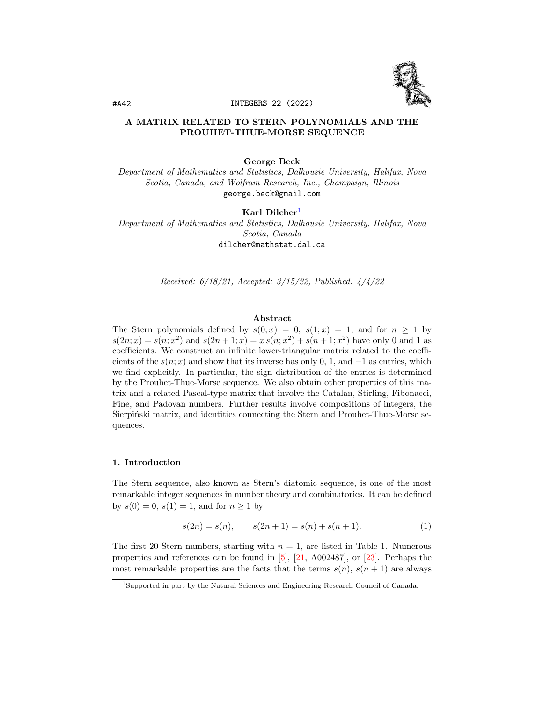

## A MATRIX RELATED TO STERN POLYNOMIALS AND THE PROUHET-THUE-MORSE SEQUENCE

## George Beck

Department of Mathematics and Statistics, Dalhousie University, Halifax, Nova Scotia, Canada, and Wolfram Research, Inc., Champaign, Illinois george.beck@gmail.com

#### Karl Dilcher<sup>[1](#page-0-0)</sup>

Department of Mathematics and Statistics, Dalhousie University, Halifax, Nova Scotia, Canada dilcher@mathstat.dal.ca

Received: 6/18/21, Accepted: 3/15/22, Published: 4/4/22

#### Abstract

The Stern polynomials defined by  $s(0; x) = 0$ ,  $s(1; x) = 1$ , and for  $n \ge 1$  by  $s(2n; x) = s(n; x^2)$  and  $s(2n + 1; x) = x s(n; x^2) + s(n + 1; x^2)$  have only 0 and 1 as coefficients. We construct an infinite lower-triangular matrix related to the coefficients of the  $s(n; x)$  and show that its inverse has only 0, 1, and  $-1$  as entries, which we find explicitly. In particular, the sign distribution of the entries is determined by the Prouhet-Thue-Morse sequence. We also obtain other properties of this matrix and a related Pascal-type matrix that involve the Catalan, Stirling, Fibonacci, Fine, and Padovan numbers. Further results involve compositions of integers, the Sierpiński matrix, and identities connecting the Stern and Prouhet-Thue-Morse sequences.

#### <span id="page-0-1"></span>1. Introduction

The Stern sequence, also known as Stern's diatomic sequence, is one of the most remarkable integer sequences in number theory and combinatorics. It can be defined by  $s(0) = 0$ ,  $s(1) = 1$ , and for  $n \ge 1$  by

<span id="page-0-2"></span>
$$
s(2n) = s(n), \qquad s(2n+1) = s(n) + s(n+1). \tag{1}
$$

The first 20 Stern numbers, starting with  $n = 1$ , are listed in Table 1. Numerous properties and references can be found in [\[5\]](#page-28-0), [\[21,](#page-29-0) A002487], or [\[23\]](#page-29-1). Perhaps the most remarkable properties are the facts that the terms  $s(n)$ ,  $s(n + 1)$  are always

<span id="page-0-0"></span><sup>1</sup>Supported in part by the Natural Sciences and Engineering Research Council of Canada.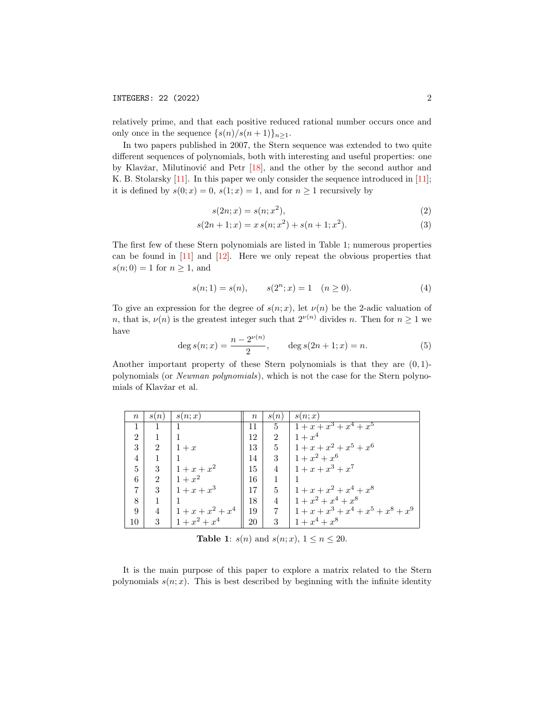relatively prime, and that each positive reduced rational number occurs once and only once in the sequence  $\{s(n)/s(n+1)\}_{n>1}$ .

In two papers published in 2007, the Stern sequence was extended to two quite different sequences of polynomials, both with interesting and useful properties: one by Klavžar, Milutinović and Petr  $[18]$ , and the other by the second author and K. B. Stolarsky [\[11\]](#page-28-2). In this paper we only consider the sequence introduced in [\[11\]](#page-28-2); it is defined by  $s(0; x) = 0$ ,  $s(1; x) = 1$ , and for  $n \ge 1$  recursively by

<span id="page-1-3"></span><span id="page-1-2"></span>
$$
s(2n; x) = s(n; x^2),\tag{2}
$$

$$
s(2n+1;x) = x s(n;x2) + s(n+1;x2).
$$
\n(3)

The first few of these Stern polynomials are listed in Table 1; numerous properties can be found in  $[11]$  and  $[12]$ . Here we only repeat the obvious properties that  $s(n; 0) = 1$  for  $n \geq 1$ , and

<span id="page-1-1"></span>
$$
s(n; 1) = s(n), \qquad s(2^n; x) = 1 \quad (n \ge 0). \tag{4}
$$

To give an expression for the degree of  $s(n; x)$ , let  $\nu(n)$  be the 2-adic valuation of n, that is,  $\nu(n)$  is the greatest integer such that  $2^{\nu(n)}$  divides n. Then for  $n \geq 1$  we have

<span id="page-1-0"></span>
$$
\deg s(n; x) = \frac{n - 2^{\nu(n)}}{2}, \qquad \deg s(2n + 1; x) = n. \tag{5}
$$

Another important property of these Stern polynomials is that they are  $(0, 1)$ polynomials (or Newman polynomials), which is not the case for the Stern polynomials of Klavžar et al.

| $\, n$                      | s(n)           | s(n; x)             | $\boldsymbol{n}$ | s(n)           | s(n; x)                                   |
|-----------------------------|----------------|---------------------|------------------|----------------|-------------------------------------------|
|                             |                |                     |                  | 5 <sup>5</sup> | $1 + x + x^3 + x^4 + x^5$                 |
| $\mathcal{D}_{\mathcal{L}}$ |                |                     | 12               | $\mathcal{D}$  | $1 + x^4$                                 |
| 3                           | $\overline{2}$ | $1+x$               | 13               |                | $1 + x + x^2 + x^5 + x^6$                 |
| $\overline{4}$              |                |                     | 14               |                | 3   $1 + x^2 + x^6$                       |
| 5                           | 3              | $1 + x + x^2$       | 15               | $\overline{4}$ | $1 + x + x^3 + x^7$                       |
| 6                           | $\overline{2}$ | $1+x^2$             | 16               |                |                                           |
|                             | 3              | $1 + x + x^3$       | 17               | 5              | $1 + x + x^2 + x^4 + x^8$                 |
| 8                           | 1              |                     | 18               | $\overline{4}$ | $1 + x^2 + x^4 + x^8$                     |
| 9                           | 4              | $1 + x + x^2 + x^4$ | 19               |                | 7   $1 + x + x^3 + x^4 + x^5 + x^8 + x^9$ |
| 10                          | 3              | $1 + x^2 + x^4$     | 20               | 3              | $1 + x^4 + x^8$                           |

**Table 1:**  $s(n)$  and  $s(n; x)$ ,  $1 \le n \le 20$ .

It is the main purpose of this paper to explore a matrix related to the Stern polynomials  $s(n; x)$ . This is best described by beginning with the infinite identity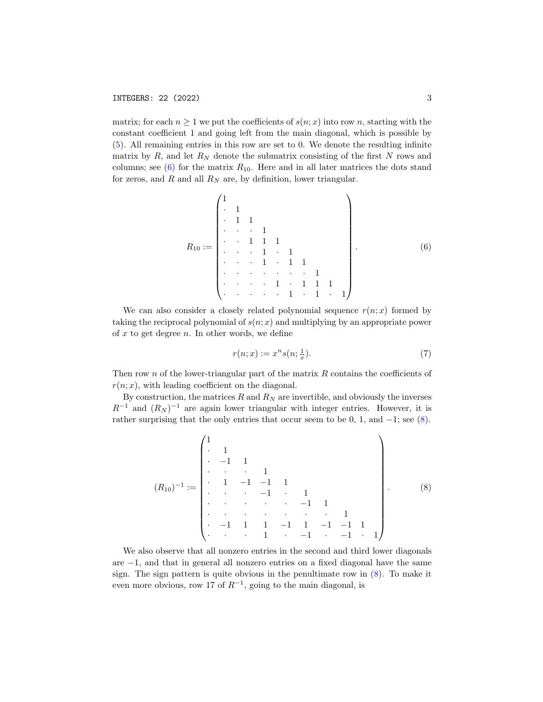matrix; for each  $n \geq 1$  we put the coefficients of  $s(n; x)$  into row n, starting with the constant coefficient 1 and going left from the main diagonal, which is possible by [\(5\)](#page-1-0). All remaining entries in this row are set to 0. We denote the resulting infinite matrix by  $R$ , and let  $R_N$  denote the submatrix consisting of the first  $N$  rows and columns; see  $(6)$  for the matrix  $R_{10}$ . Here and in all later matrices the dots stand for zeros, and  $R$  and all  $R_N$  are, by definition, lower triangular.

<span id="page-2-0"></span>R<sup>10</sup> := 1 · 1 · 1 1 · · · 1 · · 1 1 1 · · · 1 · 1 · · · 1 · 1 1 · · · · · · · 1 · · · · 1 · 1 1 1 · · · · · 1 · 1 · 1 . (6)

We can also consider a closely related polynomial sequence  $r(n; x)$  formed by taking the reciprocal polynomial of  $s(n; x)$  and multiplying by an appropriate power of  $x$  to get degree  $n$ . In other words, we define

<span id="page-2-2"></span>
$$
r(n; x) := x^n s(n; \frac{1}{x}).\tag{7}
$$

Then row n of the lower-triangular part of the matrix  $R$  contains the coefficients of  $r(n; x)$ , with leading coefficient on the diagonal.

By construction, the matrices  $R$  and  $R_N$  are invertible, and obviously the inverses  $R^{-1}$  and  $(R_N)^{-1}$  are again lower triangular with integer entries. However, it is rather surprising that the only entries that occur seem to be  $0, 1$ , and  $-1$ ; see  $(8)$ .

<span id="page-2-1"></span>
$$
(R_{10})^{-1} := \begin{pmatrix} 1 & & & & & & & \\ \cdot & 1 & & & & & & & \\ \cdot & -1 & 1 & & & & & & \\ \cdot & 1 & -1 & -1 & 1 & & & & \\ \cdot & \cdot & -1 & \cdot & 1 & & & & \\ \cdot & \cdot & \cdot & \cdot & \cdot & \cdot & \cdot & 1 & & \\ \cdot & -1 & 1 & 1 & -1 & 1 & -1 & -1 & 1 & 1 \\ \cdot & \cdot & \cdot & 1 & \cdot & -1 & \cdot & -1 & \cdot & 1 \end{pmatrix} \tag{8}
$$

We also observe that all nonzero entries in the second and third lower diagonals are −1, and that in general all nonzero entries on a fixed diagonal have the same sign. The sign pattern is quite obvious in the penultimate row in [\(8\)](#page-2-1). To make it even more obvious, row 17 of  $R^{-1}$ , going to the main diagonal, is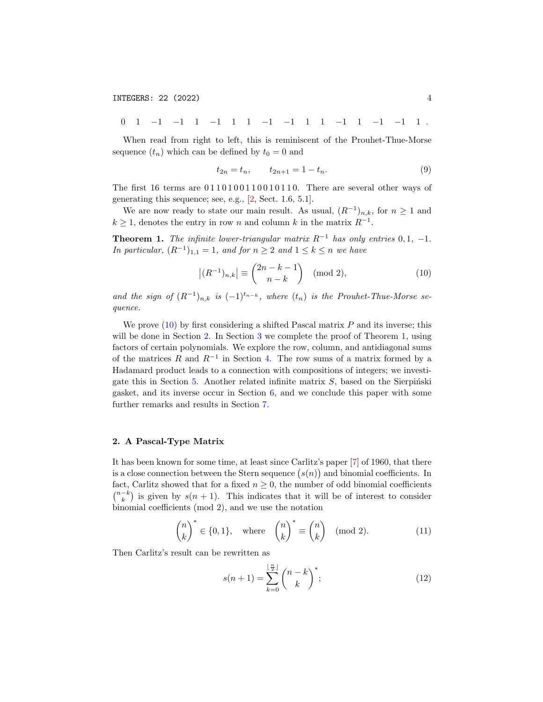0 1 −1 −1 1 −1 1 1 −1 −1 1 1 −1 1 −1 −1 1 .

When read from right to left, this is reminiscent of the Prouhet-Thue-Morse sequence  $(t_n)$  which can be defined by  $t_0 = 0$  and

<span id="page-3-4"></span>
$$
t_{2n} = t_n, \qquad t_{2n+1} = 1 - t_n. \tag{9}
$$

The first 16 terms are  $0110100110010110$ . There are several other ways of generating this sequence; see, e.g., [\[2,](#page-28-4) Sect. 1.6, 5.1].

We are now ready to state our main result. As usual,  $(R^{-1})_{n,k}$ , for  $n \geq 1$  and  $k \geq 1$ , denotes the entry in row n and column k in the matrix  $R^{-1}$ .

<span id="page-3-2"></span>**Theorem 1.** The infinite lower-triangular matrix  $R^{-1}$  has only entries 0, 1, -1. In particular,  $(R^{-1})_{1,1} = 1$ , and for  $n \geq 2$  and  $1 \leq k \leq n$  we have

<span id="page-3-0"></span>
$$
\left| (R^{-1})_{n,k} \right| \equiv \binom{2n-k-1}{n-k} \pmod{2},\tag{10}
$$

and the sign of  $(R^{-1})_{n,k}$  is  $(-1)^{t_{n-k}}$ , where  $(t_n)$  is the Prouhet-Thue-Morse sequence.

We prove  $(10)$  by first considering a shifted Pascal matrix P and its inverse; this will be done in Section [2.](#page-3-1) In Section [3](#page-7-0) we complete the proof of Theorem [1,](#page-3-2) using factors of certain polynomials. We explore the row, column, and antidiagonal sums of the matrices R and  $R^{-1}$  in Section [4.](#page-11-0) The row sums of a matrix formed by a Hadamard product leads to a connection with compositions of integers; we investi-gate this in Section [5.](#page-16-0) Another related infinite matrix  $S$ , based on the Sierpinski gasket, and its inverse occur in Section [6,](#page-21-0) and we conclude this paper with some further remarks and results in Section [7.](#page-22-0)

#### <span id="page-3-1"></span>2. A Pascal-Type Matrix

It has been known for some time, at least since Carlitz's paper [\[7\]](#page-28-5) of 1960, that there is a close connection between the Stern sequence  $(s(n))$  and binomial coefficients. In fact, Carlitz showed that for a fixed  $n \geq 0$ , the number of odd binomial coefficients  $\binom{n-k}{k}$  is given by  $s(n + 1)$ . This indicates that it will be of interest to consider binomial coefficients (mod 2), and we use the notation

<span id="page-3-3"></span>
$$
\binom{n}{k}^* \in \{0, 1\}, \quad \text{where} \quad \binom{n}{k}^* \equiv \binom{n}{k} \pmod{2}. \tag{11}
$$

Then Carlitz's result can be rewritten as

<span id="page-3-5"></span>
$$
s(n+1) = \sum_{k=0}^{\lfloor \frac{n}{2} \rfloor} {n-k \choose k}^*;
$$
 (12)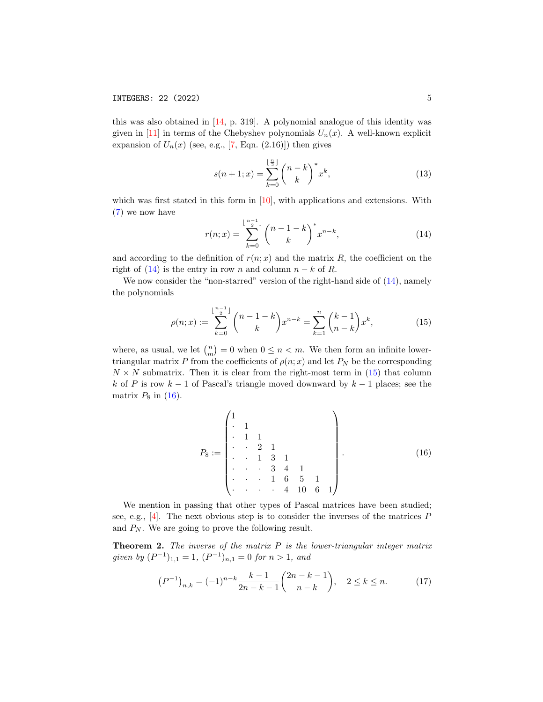this was also obtained in  $[14, p. 319]$  $[14, p. 319]$ . A polynomial analogue of this identity was given in [\[11\]](#page-28-2) in terms of the Chebyshev polynomials  $U_n(x)$ . A well-known explicit expansion of  $U_n(x)$  (see, e.g., [\[7,](#page-28-5) Eqn. (2.16)]) then gives

$$
s(n+1;x) = \sum_{k=0}^{\lfloor \frac{n}{2} \rfloor} {n-k \choose k}^* x^k,
$$
 (13)

which was first stated in this form in [\[10\]](#page-28-7), with applications and extensions. With [\(7\)](#page-2-2) we now have

<span id="page-4-0"></span>
$$
r(n;x) = \sum_{k=0}^{\lfloor \frac{n-1}{2} \rfloor} {n-1-k \choose k}^* x^{n-k},
$$
\n(14)

and according to the definition of  $r(n; x)$  and the matrix R, the coefficient on the right of [\(14\)](#page-4-0) is the entry in row n and column  $n - k$  of R.

We now consider the "non-starred" version of the right-hand side of  $(14)$ , namely the polynomials

<span id="page-4-1"></span>
$$
\rho(n;x) := \sum_{k=0}^{\lfloor \frac{n-1}{2} \rfloor} {n-1-k \choose k} x^{n-k} = \sum_{k=1}^{n} {k-1 \choose n-k} x^k,
$$
\n(15)

where, as usual, we let  $\binom{n}{m} = 0$  when  $0 \leq n < m$ . We then form an infinite lowertriangular matrix P from the coefficients of  $\rho(n; x)$  and let  $P_N$  be the corresponding  $N \times N$  submatrix. Then it is clear from the right-most term in [\(15\)](#page-4-1) that column k of P is row  $k-1$  of Pascal's triangle moved downward by  $k-1$  places; see the matrix  $P_8$  in [\(16\)](#page-4-2).

<span id="page-4-2"></span>
$$
P_8 := \begin{pmatrix} 1 & & & & & & \\ . & 1 & & & & & & \\ . & 1 & 1 & & & & & \\ . & . & 2 & 1 & & & & \\ . & . & 1 & 3 & 1 & & & \\ . & . & . & 3 & 4 & 1 & & \\ . & . & . & 1 & 6 & 5 & 1 & \\ . & . & . & . & 4 & 10 & 6 & 1 \end{pmatrix} .
$$
 (16)

We mention in passing that other types of Pascal matrices have been studied; see, e.g., [\[4\]](#page-28-8). The next obvious step is to consider the inverses of the matrices  $P$ and  $P_N$ . We are going to prove the following result.

<span id="page-4-4"></span>**Theorem 2.** The inverse of the matrix  $P$  is the lower-triangular integer matrix given by  $(P^{-1})_{1,1} = 1$ ,  $(P^{-1})_{n,1} = 0$  for  $n > 1$ , and

<span id="page-4-3"></span>
$$
(P^{-1})_{n,k} = (-1)^{n-k} \frac{k-1}{2n-k-1} {2n-k-1 \choose n-k}, \quad 2 \le k \le n. \tag{17}
$$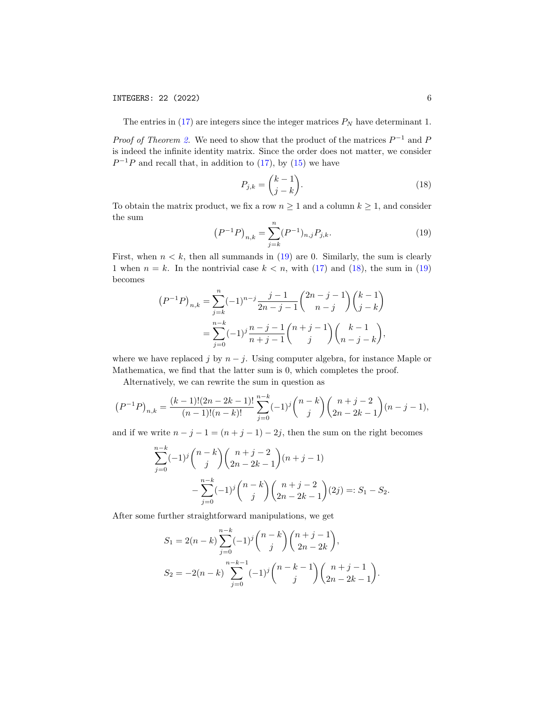The entries in  $(17)$  are integers since the integer matrices  $P_N$  have determinant 1.

*Proof of Theorem [2.](#page-4-4)* We need to show that the product of the matrices  $P^{-1}$  and P is indeed the infinite identity matrix. Since the order does not matter, we consider  $P^{-1}P$  and recall that, in addition to [\(17\)](#page-4-3), by [\(15\)](#page-4-1) we have

<span id="page-5-1"></span>
$$
P_{j,k} = \binom{k-1}{j-k}.\tag{18}
$$

To obtain the matrix product, we fix a row  $n \geq 1$  and a column  $k \geq 1$ , and consider the sum

<span id="page-5-0"></span>
$$
(P^{-1}P)_{n,k} = \sum_{j=k}^{n} (P^{-1})_{n,j} P_{j,k}.
$$
 (19)

First, when  $n < k$ , then all summands in [\(19\)](#page-5-0) are 0. Similarly, the sum is clearly 1 when  $n = k$ . In the nontrivial case  $k < n$ , with [\(17\)](#page-4-3) and [\(18\)](#page-5-1), the sum in [\(19\)](#page-5-0) becomes

$$
(P^{-1}P)_{n,k} = \sum_{j=k}^{n} (-1)^{n-j} \frac{j-1}{2n-j-1} {2n-j-1 \choose n-j} {k-1 \choose j-k}
$$
  
= 
$$
\sum_{j=0}^{n-k} (-1)^j \frac{n-j-1}{n+j-1} {n+j-1 \choose j} {k-1 \choose n-j-k},
$$

where we have replaced j by  $n - j$ . Using computer algebra, for instance Maple or Mathematica, we find that the latter sum is 0, which completes the proof.

Alternatively, we can rewrite the sum in question as

$$
(P^{-1}P)_{n,k} = \frac{(k-1)!(2n-2k-1)!}{(n-1)!(n-k)!} \sum_{j=0}^{n-k} (-1)^j \binom{n-k}{j} \binom{n+j-2}{2n-2k-1} (n-j-1),
$$

and if we write  $n - j - 1 = (n + j - 1) - 2j$ , then the sum on the right becomes

$$
\sum_{j=0}^{n-k} (-1)^j \binom{n-k}{j} \binom{n+j-2}{2n-2k-1} (n+j-1)
$$
  

$$
-\sum_{j=0}^{n-k} (-1)^j \binom{n-k}{j} \binom{n+j-2}{2n-2k-1} (2j) =: S_1 - S_2.
$$

After some further straightforward manipulations, we get

$$
S_1 = 2(n-k)\sum_{j=0}^{n-k} (-1)^j \binom{n-k}{j} \binom{n+j-1}{2n-2k},
$$
  
\n
$$
S_2 = -2(n-k)\sum_{j=0}^{n-k-1} (-1)^j \binom{n-k-1}{j} \binom{n+j-1}{2n-2k-1}.
$$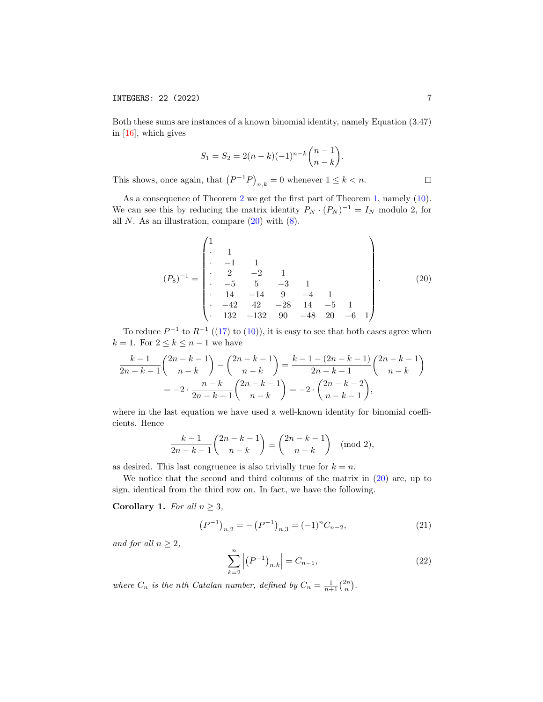Both these sums are instances of a known binomial identity, namely Equation (3.47) in [\[16\]](#page-28-9), which gives

$$
S_1 = S_2 = 2(n-k)(-1)^{n-k} \binom{n-1}{n-k}.
$$

This shows, once again, that  $(P^{-1}P)_{n,k} = 0$  whenever  $1 \leq k < n$ .

As a consequence of Theorem [2](#page-4-4) we get the first part of Theorem [1,](#page-3-2) namely [\(10\)](#page-3-0). We can see this by reducing the matrix identity  $P_N \cdot (P_N)^{-1} = I_N$  modulo 2, for all N. As an illustration, compare  $(20)$  with  $(8)$ .

<span id="page-6-0"></span>(P8) <sup>−</sup><sup>1</sup> = 1 · 1 · −1 1 · 2 −2 1 · −5 5 −3 1 · 14 −14 9 −4 1 · −42 42 −28 14 −5 1 · 132 −132 90 −48 20 −6 1 . (20)

To reduce  $P^{-1}$  to  $R^{-1}$  ([\(17\)](#page-4-3) to [\(10\)](#page-3-0)), it is easy to see that both cases agree when  $k = 1$ . For  $2 \leq k \leq n-1$  we have

$$
\frac{k-1}{2n-k-1} \binom{2n-k-1}{n-k} - \binom{2n-k-1}{n-k} = \frac{k-1-(2n-k-1)}{2n-k-1} \binom{2n-k-1}{n-k}
$$

$$
= -2 \cdot \frac{n-k}{2n-k-1} \binom{2n-k-1}{n-k} = -2 \cdot \binom{2n-k-2}{n-k-1},
$$

where in the last equation we have used a well-known identity for binomial coefficients. Hence

$$
\frac{k-1}{2n-k-1} \binom{2n-k-1}{n-k} \equiv \binom{2n-k-1}{n-k} \pmod{2},
$$

as desired. This last congruence is also trivially true for  $k = n$ .

We notice that the second and third columns of the matrix in  $(20)$  are, up to sign, identical from the third row on. In fact, we have the following.

Corollary 1. For all  $n \geq 3$ ,

<span id="page-6-1"></span>
$$
(P^{-1})_{n,2} = -(P^{-1})_{n,3} = (-1)^n C_{n-2},
$$
\n(21)

and for all  $n \geq 2$ ,

<span id="page-6-2"></span>
$$
\sum_{k=2}^{n} \left| \left( P^{-1} \right)_{n,k} \right| = C_{n-1},\tag{22}
$$

where  $C_n$  is the nth Catalan number, defined by  $C_n = \frac{1}{n+1} {2n \choose n}$ .

 $\Box$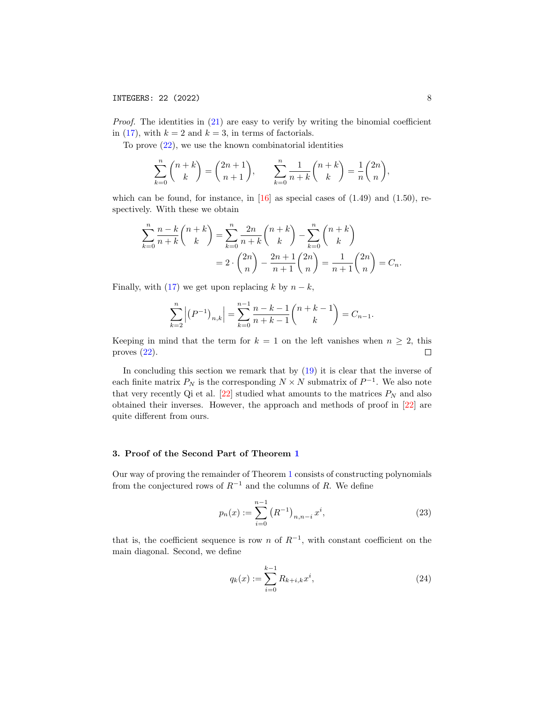Proof. The identities in [\(21\)](#page-6-1) are easy to verify by writing the binomial coefficient in [\(17\)](#page-4-3), with  $k = 2$  and  $k = 3$ , in terms of factorials.

To prove [\(22\)](#page-6-2), we use the known combinatorial identities

$$
\sum_{k=0}^{n} {n+k \choose k} = {2n+1 \choose n+1}, \qquad \sum_{k=0}^{n} \frac{1}{n+k} {n+k \choose k} = \frac{1}{n} {2n \choose n},
$$

which can be found, for instance, in  $[16]$  as special cases of  $(1.49)$  and  $(1.50)$ , respectively. With these we obtain

$$
\sum_{k=0}^{n} \frac{n-k}{n+k} \binom{n+k}{k} = \sum_{k=0}^{n} \frac{2n}{n+k} \binom{n+k}{k} - \sum_{k=0}^{n} \binom{n+k}{k} = 2 \cdot \binom{2n}{n} - \frac{2n+1}{n+1} \binom{2n}{n} = \frac{1}{n+1} \binom{2n}{n} = C_n.
$$

Finally, with [\(17\)](#page-4-3) we get upon replacing k by  $n - k$ ,

$$
\sum_{k=2}^{n} | (P^{-1})_{n,k} | = \sum_{k=0}^{n-1} \frac{n-k-1}{n+k-1} {n+k-1 \choose k} = C_{n-1}.
$$

Keeping in mind that the term for  $k = 1$  on the left vanishes when  $n \geq 2$ , this proves  $(22)$ .  $\Box$ 

In concluding this section we remark that by [\(19\)](#page-5-0) it is clear that the inverse of each finite matrix  $P_N$  is the corresponding  $N \times N$  submatrix of  $P^{-1}$ . We also note that very recently Qi et al.  $[22]$  studied what amounts to the matrices  $P_N$  and also obtained their inverses. However, the approach and methods of proof in [\[22\]](#page-29-2) are quite different from ours.

## <span id="page-7-0"></span>3. Proof of the Second Part of Theorem [1](#page-3-2)

Our way of proving the remainder of Theorem [1](#page-3-2) consists of constructing polynomials from the conjectured rows of  $R^{-1}$  and the columns of R. We define

<span id="page-7-1"></span>
$$
p_n(x) := \sum_{i=0}^{n-1} (R^{-1})_{n,n-i} x^i,
$$
\n(23)

that is, the coefficient sequence is row n of  $R^{-1}$ , with constant coefficient on the main diagonal. Second, we define

<span id="page-7-2"></span>
$$
q_k(x) := \sum_{i=0}^{k-1} R_{k+i,k} x^i,
$$
\n(24)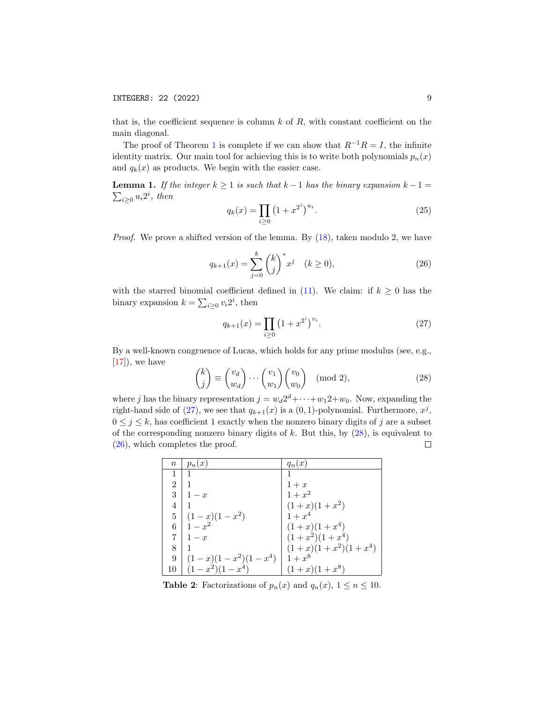that is, the coefficient sequence is column  $k$  of  $R$ , with constant coefficient on the main diagonal.

The proof of Theorem [1](#page-3-2) is complete if we can show that  $R^{-1}R = I$ , the infinite identity matrix. Our main tool for achieving this is to write both polynomials  $p_n(x)$ and  $q_k(x)$  as products. We begin with the easier case.

<span id="page-8-4"></span>**Lemma 1.** If the integer  $k \ge 1$  is such that  $k-1$  has the binary expansion  $k-1=$  $\sum_{i\geq 0} u_i 2^i$ , then

<span id="page-8-3"></span>
$$
q_k(x) = \prod_{i \ge 0} \left(1 + x^{2^i}\right)^{u_i}.
$$
 (25)

*Proof.* We prove a shifted version of the lemma. By  $(18)$ , taken modulo 2, we have

<span id="page-8-2"></span>
$$
q_{k+1}(x) = \sum_{j=0}^{k} {k \choose j}^* x^j \quad (k \ge 0),
$$
 (26)

with the starred binomial coefficient defined in [\(11\)](#page-3-3). We claim: if  $k \geq 0$  has the binary expansion  $k = \sum_{i \geq 0} v_i 2^i$ , then

<span id="page-8-0"></span>
$$
q_{k+1}(x) = \prod_{i \ge 0} (1 + x^{2^i})^{v_i}.
$$
 (27)

By a well-known congruence of Lucas, which holds for any prime modulus (see, e.g.,  $[17]$ , we have

<span id="page-8-1"></span>
$$
\binom{k}{j} \equiv \binom{v_d}{w_d} \cdots \binom{v_1}{w_1} \binom{v_0}{w_0} \pmod{2},\tag{28}
$$

where j has the binary representation  $j = w_d 2^d + \cdots + w_1 2 + w_0$ . Now, expanding the right-hand side of [\(27\)](#page-8-0), we see that  $q_{k+1}(x)$  is a (0, 1)-polynomial. Furthermore,  $x^j$ ,  $0 \leq j \leq k$ , has coefficient 1 exactly when the nonzero binary digits of j are a subset of the corresponding nonzero binary digits of  $k$ . But this, by  $(28)$ , is equivalent to [\(26\)](#page-8-2), which completes the proof.  $\Box$ 

| $\it n$        | $p_n(x)$              | $q_n(x)$              |
|----------------|-----------------------|-----------------------|
|                |                       |                       |
| $\overline{2}$ |                       | $1+x$                 |
| 3              | $1-x$                 | $1 + x^2$             |
| 4              |                       | $(1+x)(1+x^2)$        |
| 5              | $(1-x)(1-x^2)$        | $1 + x^4$             |
| 6              | $1 - x^2$             | $(1+x)(1+x^4)$        |
|                | $1-x$                 | $(1+x^2)(1+x^4)$      |
| 8              |                       | $(1+x)(1+x^2)(1+x^4)$ |
| 9              | $(1-x)(1-x^2)(1-x^4)$ | $1+x^8$               |
| 10             | $(x^2)(1-x^4)$        | $(1+x)(1+x^8)$        |

**Table 2:** Factorizations of  $p_n(x)$  and  $q_n(x)$ ,  $1 \le n \le 10$ .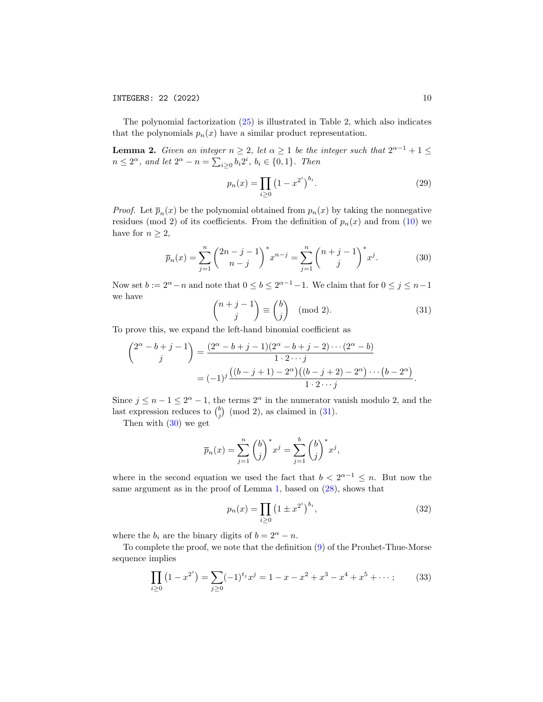The polynomial factorization [\(25\)](#page-8-3) is illustrated in Table 2, which also indicates that the polynomials  $p_n(x)$  have a similar product representation.

<span id="page-9-5"></span>**Lemma 2.** Given an integer  $n \geq 2$ , let  $\alpha \geq 1$  be the integer such that  $2^{\alpha-1} + 1 \leq$  $n \leq 2^{\alpha}$ , and let  $2^{\alpha} - n = \sum_{i \geq 0} b_i 2^i$ ,  $b_i \in \{0, 1\}$ . Then

<span id="page-9-4"></span>
$$
p_n(x) = \prod_{i \ge 0} (1 - x^{2^i})^{b_i}.
$$
 (29)

*Proof.* Let  $\overline{p}_n(x)$  be the polynomial obtained from  $p_n(x)$  by taking the nonnegative residues (mod 2) of its coefficients. From the definition of  $p_n(x)$  and from [\(10\)](#page-3-0) we have for  $n \geq 2$ ,

<span id="page-9-1"></span>
$$
\overline{p}_n(x) = \sum_{j=1}^n \binom{2n-j-1}{n-j}^* x^{n-j} = \sum_{j=1}^n \binom{n+j-1}{j}^* x^j.
$$
 (30)

Now set  $b := 2^{\alpha} - n$  and note that  $0 \leq b \leq 2^{\alpha-1} - 1$ . We claim that for  $0 \leq j \leq n-1$ we have

<span id="page-9-0"></span>
$$
\binom{n+j-1}{j} \equiv \binom{b}{j} \pmod{2}.
$$
 (31)

To prove this, we expand the left-hand binomial coefficient as

$$
\binom{2^{\alpha} - b + j - 1}{j} = \frac{(2^{\alpha} - b + j - 1)(2^{\alpha} - b + j - 2) \cdots (2^{\alpha} - b)}{1 \cdot 2 \cdots j}
$$

$$
= (-1)^{j} \frac{((b - j + 1) - 2^{\alpha})((b - j + 2) - 2^{\alpha}) \cdots (b - 2^{\alpha})}{1 \cdot 2 \cdots j}
$$

Since  $j \leq n-1 \leq 2^{\alpha}-1$ , the terms  $2^{\alpha}$  in the numerator vanish modulo 2, and the last expression reduces to  $\binom{b}{j}$  (mod 2), as claimed in [\(31\)](#page-9-0).

Then with [\(30\)](#page-9-1) we get

$$
\overline{p}_n(x) = \sum_{j=1}^n {b \choose j}^* x^j = \sum_{j=1}^b {b \choose j}^* x^j,
$$

where in the second equation we used the fact that  $b < 2^{\alpha-1} \leq n$ . But now the same argument as in the proof of Lemma [1,](#page-8-4) based on [\(28\)](#page-8-1), shows that

<span id="page-9-3"></span>
$$
p_n(x) = \prod_{i \ge 0} \left(1 \pm x^{2^i}\right)^{b_i},\tag{32}
$$

where the  $b_i$  are the binary digits of  $b = 2^{\alpha} - n$ .

To complete the proof, we note that the definition [\(9\)](#page-3-4) of the Prouhet-Thue-Morse sequence implies

<span id="page-9-2"></span>
$$
\prod_{i\geq 0} (1 - x^{2^i}) = \sum_{j\geq 0} (-1)^{t_j} x^j = 1 - x - x^2 + x^3 - x^4 + x^5 + \dots; \tag{33}
$$

.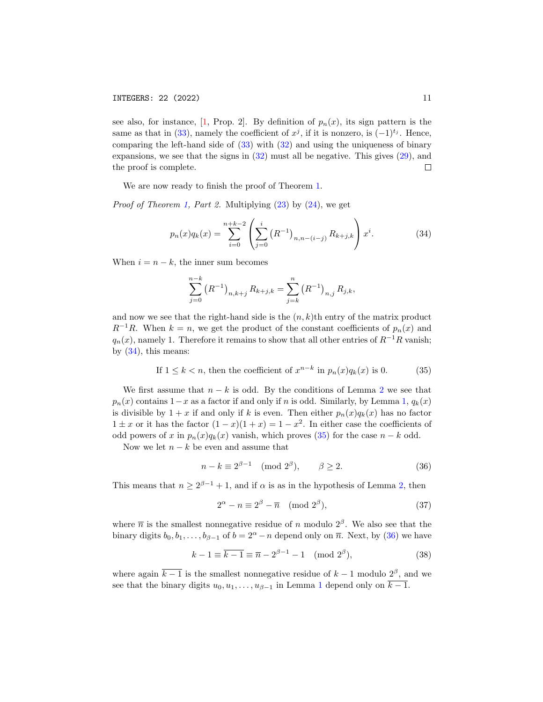see also, for instance, [\[1,](#page-28-11) Prop. 2]. By definition of  $p_n(x)$ , its sign pattern is the same as that in [\(33\)](#page-9-2), namely the coefficient of  $x^j$ , if it is nonzero, is  $(-1)^{t_j}$ . Hence, comparing the left-hand side of [\(33\)](#page-9-2) with [\(32\)](#page-9-3) and using the uniqueness of binary expansions, we see that the signs in [\(32\)](#page-9-3) must all be negative. This gives [\(29\)](#page-9-4), and  $\Box$ the proof is complete.

We are now ready to finish the proof of Theorem [1.](#page-3-2)

*Proof of Theorem [1,](#page-3-2) Part 2.* Multiplying  $(23)$  by  $(24)$ , we get

<span id="page-10-0"></span>
$$
p_n(x)q_k(x) = \sum_{i=0}^{n+k-2} \left( \sum_{j=0}^i (R^{-1})_{n,n-(i-j)} R_{k+j,k} \right) x^i.
$$
 (34)

When  $i = n - k$ , the inner sum becomes

$$
\sum_{j=0}^{n-k} (R^{-1})_{n,k+j} R_{k+j,k} = \sum_{j=k}^{n} (R^{-1})_{n,j} R_{j,k},
$$

and now we see that the right-hand side is the  $(n, k)$ th entry of the matrix product  $R^{-1}R$ . When  $k = n$ , we get the product of the constant coefficients of  $p_n(x)$  and  $q_n(x)$ , namely 1. Therefore it remains to show that all other entries of  $R^{-1}R$  vanish; by [\(34\)](#page-10-0), this means:

<span id="page-10-1"></span>If 
$$
1 \le k < n
$$
, then the coefficient of  $x^{n-k}$  in  $p_n(x)q_k(x)$  is 0. (35)

We first assume that  $n - k$  is odd. By the conditions of Lemma [2](#page-9-5) we see that  $p_n(x)$  contains  $1-x$  as a factor if and only if n is odd. Similarly, by Lemma [1,](#page-8-4)  $q_k(x)$ is divisible by  $1 + x$  if and only if k is even. Then either  $p_n(x)q_k(x)$  has no factor  $1 \pm x$  or it has the factor  $(1-x)(1+x) = 1-x^2$ . In either case the coefficients of odd powers of x in  $p_n(x)q_k(x)$  vanish, which proves [\(35\)](#page-10-1) for the case  $n - k$  odd.

Now we let  $n - k$  be even and assume that

<span id="page-10-2"></span>
$$
n - k \equiv 2^{\beta - 1} \pmod{2^{\beta}}, \qquad \beta \ge 2. \tag{36}
$$

This means that  $n \geq 2^{\beta-1} + 1$ , and if  $\alpha$  is as in the hypothesis of Lemma [2,](#page-9-5) then

<span id="page-10-3"></span>
$$
2^{\alpha} - n \equiv 2^{\beta} - \overline{n} \pmod{2^{\beta}},\tag{37}
$$

where  $\bar{n}$  is the smallest nonnegative residue of n modulo  $2^{\beta}$ . We also see that the binary digits  $b_0, b_1, \ldots, b_{\beta-1}$  of  $b = 2^{\alpha} - n$  depend only on  $\overline{n}$ . Next, by [\(36\)](#page-10-2) we have

<span id="page-10-4"></span>
$$
k - 1 \equiv \overline{k - 1} \equiv \overline{n} - 2^{\beta - 1} - 1 \pmod{2^{\beta}},
$$
 (38)

where again  $\overline{k-1}$  is the smallest nonnegative residue of  $k-1$  modulo  $2^{\beta}$ , and we see that the binary digits  $u_0, u_1, \ldots, u_{\beta-1}$  $u_0, u_1, \ldots, u_{\beta-1}$  $u_0, u_1, \ldots, u_{\beta-1}$  in Lemma 1 depend only on  $\overline{k-1}$ .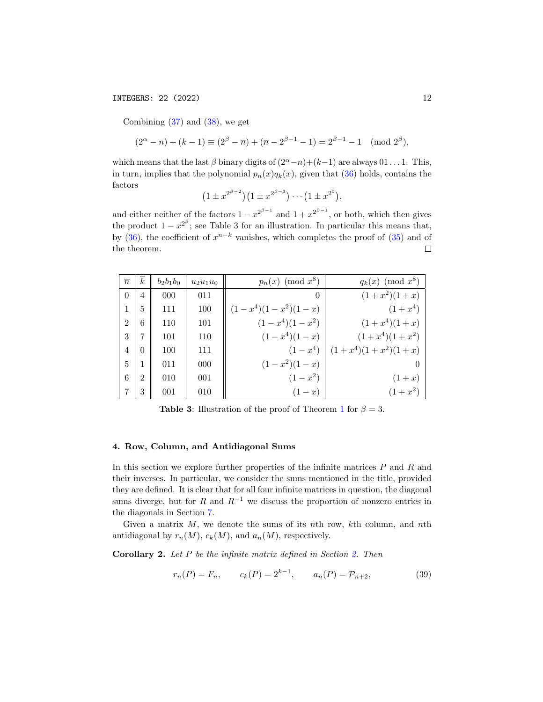## INTEGERS: 22 (2022) 12

Combining  $(37)$  and  $(38)$ , we get

$$
(2^{\alpha} - n) + (k - 1) \equiv (2^{\beta} - \overline{n}) + (\overline{n} - 2^{\beta - 1} - 1) = 2^{\beta - 1} - 1 \pmod{2^{\beta}},
$$

which means that the last  $\beta$  binary digits of  $(2^{\alpha}-n)+(k-1)$  are always 01 . . . 1. This, in turn, implies that the polynomial  $p_n(x)q_k(x)$ , given that [\(36\)](#page-10-2) holds, contains the factors

$$
(1 \pm x^{2^{\beta-2}})(1 \pm x^{2^{\beta-3}})\cdots(1 \pm x^{2^0}),
$$

and either neither of the factors  $1 - x^{2^{\beta - 1}}$  and  $1 + x^{2^{\beta - 1}}$ , or both, which then gives the product  $1 - x^{2^{\beta}}$ ; see Table 3 for an illustration. In particular this means that, by [\(36\)](#page-10-2), the coefficient of  $x^{n-k}$  vanishes, which completes the proof of [\(35\)](#page-10-1) and of the theorem.  $\Box$ 

| $\overline{n}$ | $\boldsymbol{k}$ | $b_2b_1b_0$ | $u_2u_1u_0$ | $p_n(x)$ (mod $x^8$ ) | $q_k(x)$ (mod $x^8$ ) |
|----------------|------------------|-------------|-------------|-----------------------|-----------------------|
| $\theta$       | $\overline{4}$   | 000         | 011         | $\theta$              | $(1+x^2)(1+x)$        |
| 1              | 5                | 111         | 100         | $(1-x^4)(1-x^2)(1-x)$ | $(1+x^4)$             |
| $\mathfrak{D}$ | 6                | 110         | 101         | $(1-x^4)(1-x^2)$      | $(1+x^4)(1+x)$        |
| 3              | 7                | 101         | 110         | $(1-x^4)(1-x)$        | $(1+x^4)(1+x^2)$      |
| 4              | $\Omega$         | 100         | 111         | $(1-x^4)$             | $(1+x^4)(1+x^2)(1+x)$ |
| 5              | 1                | 011         | 000         | $(1-x^2)(1-x)$        |                       |
| 6              | $\overline{2}$   | 010         | 001         | $(1-x^2)$             | $(1+x)$               |
|                | 3                | 001         | 010         | $(1 - x)$             | $(1+x^2)$             |

**Table 3:** Illustration of the proof of Theorem [1](#page-3-2) for  $\beta = 3$ .

#### <span id="page-11-0"></span>4. Row, Column, and Antidiagonal Sums

In this section we explore further properties of the infinite matrices  $P$  and  $R$  and their inverses. In particular, we consider the sums mentioned in the title, provided they are defined. It is clear that for all four infinite matrices in question, the diagonal sums diverge, but for R and  $R^{-1}$  we discuss the proportion of nonzero entries in the diagonals in Section [7.](#page-22-0)

Given a matrix  $M$ , we denote the sums of its nth row,  $k$ th column, and nth antidiagonal by  $r_n(M)$ ,  $c_k(M)$ , and  $a_n(M)$ , respectively.

<span id="page-11-1"></span>Corollary 2. Let P be the infinite matrix defined in Section [2.](#page-3-1) Then

<span id="page-11-2"></span>
$$
r_n(P) = F_n, \qquad c_k(P) = 2^{k-1}, \qquad a_n(P) = \mathcal{P}_{n+2}, \tag{39}
$$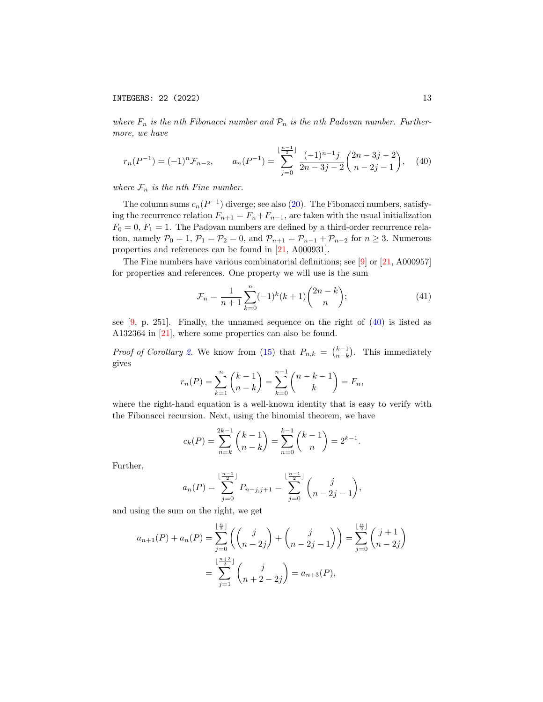where  $F_n$  is the nth Fibonacci number and  $\mathcal{P}_n$  is the nth Padovan number. Furthermore, we have

<span id="page-12-0"></span>
$$
r_n(P^{-1}) = (-1)^n \mathcal{F}_{n-2}, \qquad a_n(P^{-1}) = \sum_{j=0}^{\lfloor \frac{n-1}{2} \rfloor} \frac{(-1)^{n-1} j}{2n - 3j - 2} {2n - 3j - 2 \choose n - 2j - 1}, \quad (40)
$$

where  $\mathcal{F}_n$  is the nth Fine number.

The column sums  $c_n(P^{-1})$  diverge; see also [\(20\)](#page-6-0). The Fibonacci numbers, satisfying the recurrence relation  $F_{n+1} = F_n + F_{n-1}$ , are taken with the usual initialization  $F_0 = 0, F_1 = 1$ . The Padovan numbers are defined by a third-order recurrence relation, namely  $\mathcal{P}_0 = 1$ ,  $\mathcal{P}_1 = \mathcal{P}_2 = 0$ , and  $\mathcal{P}_{n+1} = \mathcal{P}_{n-1} + \mathcal{P}_{n-2}$  for  $n \geq 3$ . Numerous properties and references can be found in [\[21,](#page-29-0) A000931].

The Fine numbers have various combinatorial definitions; see [\[9\]](#page-28-12) or [\[21,](#page-29-0) A000957] for properties and references. One property we will use is the sum

<span id="page-12-1"></span>
$$
\mathcal{F}_n = \frac{1}{n+1} \sum_{k=0}^n (-1)^k (k+1) \binom{2n-k}{n};\tag{41}
$$

see  $[9, p. 251]$  $[9, p. 251]$ . Finally, the unnamed sequence on the right of  $(40)$  is listed as A132364 in [\[21\]](#page-29-0), where some properties can also be found.

*Proof of Corollary 2*. We know from [\(15\)](#page-4-1) that  $P_{n,k} = \binom{k-1}{n-k}$ . This immediately gives

$$
r_n(P) = \sum_{k=1}^n {k-1 \choose n-k} = \sum_{k=0}^{n-1} {n-k-1 \choose k} = F_n,
$$

where the right-hand equation is a well-known identity that is easy to verify with the Fibonacci recursion. Next, using the binomial theorem, we have

$$
c_k(P) = \sum_{n=k}^{2k-1} {k-1 \choose n-k} = \sum_{n=0}^{k-1} {k-1 \choose n} = 2^{k-1}.
$$

Further,

$$
a_n(P) = \sum_{j=0}^{\lfloor \frac{n-1}{2} \rfloor} P_{n-j,j+1} = \sum_{j=0}^{\lfloor \frac{n-1}{2} \rfloor} {j \choose n-2j-1},
$$

and using the sum on the right, we get

$$
a_{n+1}(P) + a_n(P) = \sum_{j=0}^{\lfloor \frac{n}{2} \rfloor} \left( \binom{j}{n-2j} + \binom{j}{n-2j-1} \right) = \sum_{j=0}^{\lfloor \frac{n}{2} \rfloor} \binom{j+1}{n-2j} = \sum_{j=1}^{\lfloor \frac{n+2}{2} \rfloor} \binom{j}{n+2-2j} = a_{n+3}(P),
$$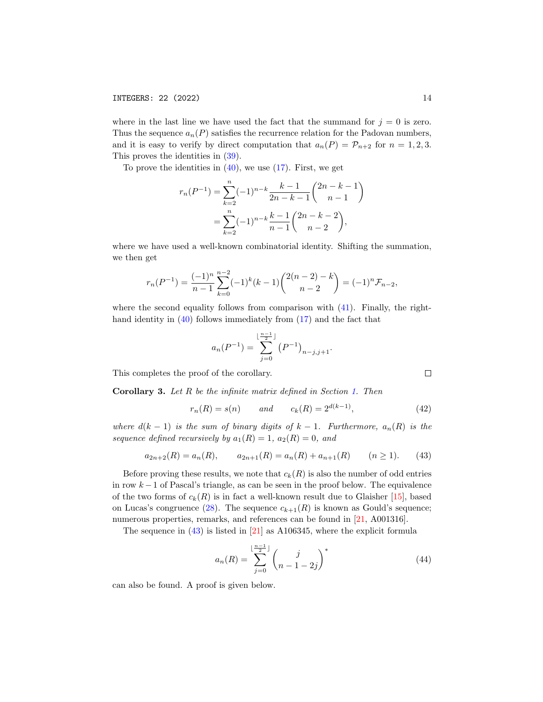where in the last line we have used the fact that the summand for  $j = 0$  is zero. Thus the sequence  $a_n(P)$  satisfies the recurrence relation for the Padovan numbers, and it is easy to verify by direct computation that  $a_n(P) = \mathcal{P}_{n+2}$  for  $n = 1, 2, 3$ . This proves the identities in [\(39\)](#page-11-2).

To prove the identities in  $(40)$ , we use  $(17)$ . First, we get

$$
r_n(P^{-1}) = \sum_{k=2}^n (-1)^{n-k} \frac{k-1}{2n-k-1} {2n-k-1 \choose n-1}
$$
  
= 
$$
\sum_{k=2}^n (-1)^{n-k} \frac{k-1}{n-1} {2n-k-2 \choose n-2},
$$

where we have used a well-known combinatorial identity. Shifting the summation, we then get

$$
r_n(P^{-1}) = \frac{(-1)^n}{n-1} \sum_{k=0}^{n-2} (-1)^k (k-1) \binom{2(n-2)-k}{n-2} = (-1)^n \mathcal{F}_{n-2},
$$

where the second equality follows from comparison with  $(41)$ . Finally, the righthand identity in  $(40)$  follows immediately from  $(17)$  and the fact that

$$
a_n(P^{-1}) = \sum_{j=0}^{\lfloor \frac{n-1}{2} \rfloor} (P^{-1})_{n-j,j+1}.
$$

This completes the proof of the corollary.

<span id="page-13-1"></span>Corollary 3. Let R be the infinite matrix defined in Section [1.](#page-0-1) Then

<span id="page-13-2"></span>
$$
r_n(R) = s(n)
$$
 and  $c_k(R) = 2^{d(k-1)}$ , (42)

where  $d(k-1)$  is the sum of binary digits of  $k-1$ . Furthermore,  $a_n(R)$  is the sequence defined recursively by  $a_1(R) = 1$ ,  $a_2(R) = 0$ , and

<span id="page-13-0"></span>
$$
a_{2n+2}(R) = a_n(R), \qquad a_{2n+1}(R) = a_n(R) + a_{n+1}(R) \qquad (n \ge 1). \tag{43}
$$

Before proving these results, we note that  $c_k(R)$  is also the number of odd entries in row  $k-1$  of Pascal's triangle, as can be seen in the proof below. The equivalence of the two forms of  $c_k(R)$  is in fact a well-known result due to Glaisher [\[15\]](#page-28-13), based on Lucas's congruence [\(28\)](#page-8-1). The sequence  $c_{k+1}(R)$  is known as Gould's sequence; numerous properties, remarks, and references can be found in [\[21,](#page-29-0) A001316].

The sequence in [\(43\)](#page-13-0) is listed in [\[21\]](#page-29-0) as A106345, where the explicit formula

<span id="page-13-3"></span>
$$
a_n(R) = \sum_{j=0}^{\lfloor \frac{n-1}{2} \rfloor} {j \choose n-1-2j}^*
$$
\n(44)

can also be found. A proof is given below.

$$
\sqcup
$$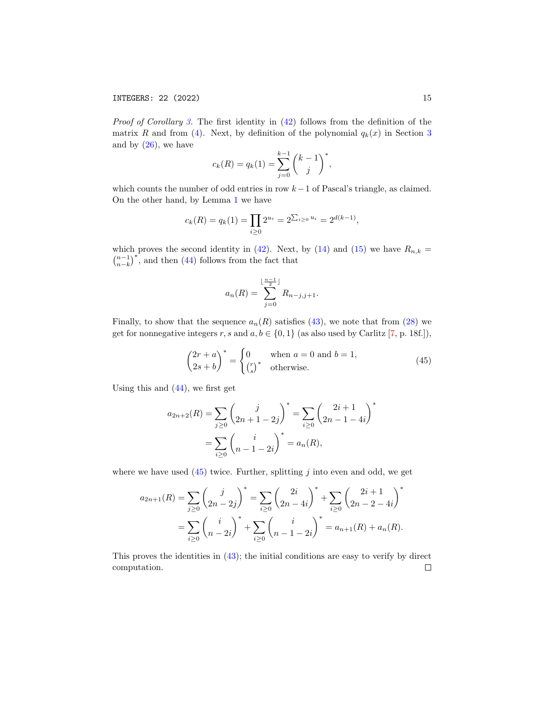Proof of Corollary [3.](#page-13-1) The first identity in  $(42)$  follows from the definition of the matrix R and from [\(4\)](#page-1-1). Next, by definition of the polynomial  $q_k(x)$  in Section [3](#page-7-0) and by  $(26)$ , we have

$$
c_k(R) = q_k(1) = \sum_{j=0}^{k-1} {k-1 \choose j}^*,
$$

which counts the number of odd entries in row  $k-1$  of Pascal's triangle, as claimed. On the other hand, by Lemma [1](#page-8-4) we have

$$
c_k(R) = q_k(1) = \prod_{i \ge 0} 2^{u_i} = 2^{\sum_{i \ge 0} u_i} = 2^{d(k-1)},
$$

which proves the second identity in [\(42\)](#page-13-2). Next, by [\(14\)](#page-4-0) and [\(15\)](#page-4-1) we have  $R_{n,k}$  =  $\binom{n-1}{n-k}^*$ , and then [\(44\)](#page-13-3) follows from the fact that

$$
a_n(R) = \sum_{j=0}^{\lfloor \frac{n-1}{2} \rfloor} R_{n-j,j+1}.
$$

Finally, to show that the sequence  $a_n(R)$  satisfies [\(43\)](#page-13-0), we note that from [\(28\)](#page-8-1) we get for nonnegative integers r, s and  $a, b \in \{0, 1\}$  (as also used by Carlitz [\[7,](#page-28-5) p. 18f.]),

<span id="page-14-0"></span>
$$
\begin{pmatrix} 2r + a \\ 2s + b \end{pmatrix}^* = \begin{cases} 0 & \text{when } a = 0 \text{ and } b = 1, \\ \binom{r}{s}^* & \text{otherwise.} \end{cases}
$$
 (45)

Using this and  $(44)$ , we first get

$$
a_{2n+2}(R) = \sum_{j\geq 0} {j \choose 2n+1-2j}^* = \sum_{i\geq 0} {2i+1 \choose 2n-1-4i}^*
$$
  
= 
$$
\sum_{i\geq 0} {i \choose n-1-2i}^* = a_n(R),
$$

where we have used  $(45)$  twice. Further, splitting j into even and odd, we get

$$
a_{2n+1}(R) = \sum_{j\geq 0} \binom{j}{2n-2j}^* = \sum_{i\geq 0} \binom{2i}{2n-4i}^* + \sum_{i\geq 0} \binom{2i+1}{2n-2-4i}^*
$$
  
= 
$$
\sum_{i\geq 0} \binom{i}{n-2i}^* + \sum_{i\geq 0} \binom{i}{n-1-2i}^* = a_{n+1}(R) + a_n(R).
$$

This proves the identities in [\(43\)](#page-13-0); the initial conditions are easy to verify by direct computation. $\Box$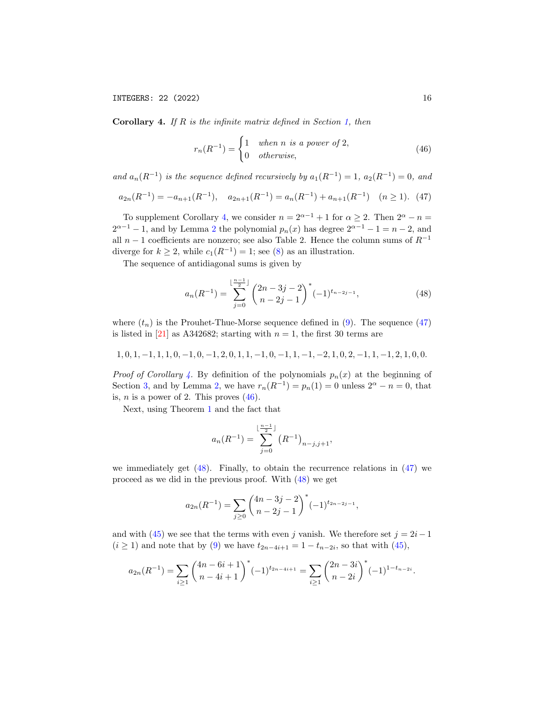<span id="page-15-0"></span>**Corollary 4.** If  $R$  is the infinite matrix defined in Section [1,](#page-0-1) then

<span id="page-15-2"></span>
$$
r_n(R^{-1}) = \begin{cases} 1 & when n is a power of 2, \\ 0 & otherwise, \end{cases}
$$
 (46)

and  $a_n(R^{-1})$  is the sequence defined recursively by  $a_1(R^{-1}) = 1$ ,  $a_2(R^{-1}) = 0$ , and

<span id="page-15-1"></span>
$$
a_{2n}(R^{-1}) = -a_{n+1}(R^{-1}), \quad a_{2n+1}(R^{-1}) = a_n(R^{-1}) + a_{n+1}(R^{-1}) \quad (n \ge 1). \tag{47}
$$

To supplement Corollary [4,](#page-15-0) we consider  $n = 2^{\alpha-1} + 1$  for  $\alpha \ge 2$ . Then  $2^{\alpha} - n =$  $2^{\alpha-1} - 1$  $2^{\alpha-1} - 1$ , and by Lemma 2 the polynomial  $p_n(x)$  has degree  $2^{\alpha-1} - 1 = n - 2$ , and all  $n-1$  coefficients are nonzero; see also Table 2. Hence the column sums of  $R^{-1}$ diverge for  $k \geq 2$ , while  $c_1(R^{-1}) = 1$ ; see [\(8\)](#page-2-1) as an illustration.

The sequence of antidiagonal sums is given by

<span id="page-15-3"></span>
$$
a_n(R^{-1}) = \sum_{j=0}^{\lfloor \frac{n-1}{2} \rfloor} {2n-3j-2 \choose n-2j-1}^*(-1)^{t_{n-2j-1}}, \tag{48}
$$

where  $(t_n)$  is the Prouhet-Thue-Morse sequence defined in [\(9\)](#page-3-4). The sequence [\(47\)](#page-15-1) is listed in [\[21\]](#page-29-0) as A342682; starting with  $n = 1$ , the first 30 terms are

$$
1,0,1,-1,1,1,0,-1,0,-1,2,0,1,1,-1,0,-1,1,-1,-2,1,0,2,-1,1,-1,2,1,0,0.\\
$$

*Proof of Corollary [4.](#page-15-0)* By definition of the polynomials  $p_n(x)$  at the beginning of Section [3,](#page-7-0) and by Lemma [2,](#page-9-5) we have  $r_n(R^{-1}) = p_n(1) = 0$  unless  $2^{\alpha} - n = 0$ , that is,  $n$  is a power of 2. This proves  $(46)$ .

Next, using Theorem [1](#page-3-2) and the fact that

$$
a_n(R^{-1}) = \sum_{j=0}^{\lfloor \frac{n-1}{2} \rfloor} (R^{-1})_{n-j,j+1},
$$

we immediately get  $(48)$ . Finally, to obtain the recurrence relations in  $(47)$  we proceed as we did in the previous proof. With [\(48\)](#page-15-3) we get

$$
a_{2n}(R^{-1}) = \sum_{j\geq 0} \binom{4n-3j-2}{n-2j-1}^* (-1)^{t_{2n-2j-1}},
$$

and with [\(45\)](#page-14-0) we see that the terms with even j vanish. We therefore set  $j = 2i-1$  $(i \geq 1)$  and note that by [\(9\)](#page-3-4) we have  $t_{2n-4i+1} = 1 - t_{n-2i}$ , so that with [\(45\)](#page-14-0),

$$
a_{2n}(R^{-1}) = \sum_{i\geq 1} \binom{4n-6i+1}{n-4i+1}^* (-1)^{t_{2n-4i+1}} = \sum_{i\geq 1} \binom{2n-3i}{n-2i}^* (-1)^{1-t_{n-2i}}.
$$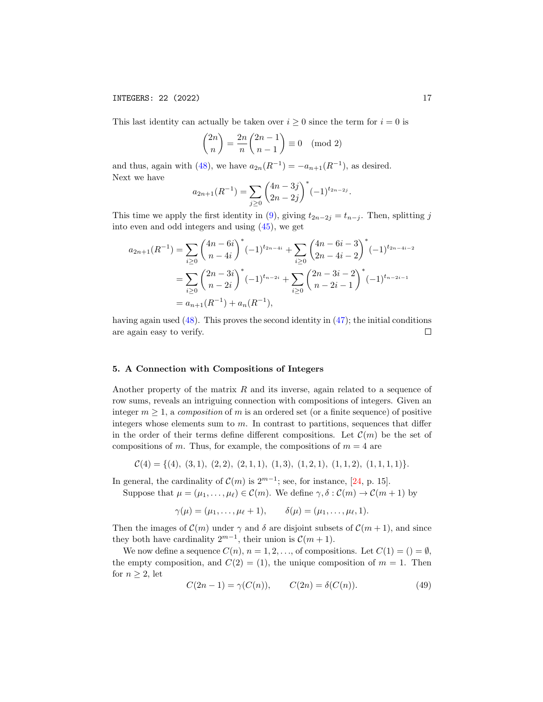## INTEGERS: 22 (2022) 17

This last identity can actually be taken over  $i \geq 0$  since the term for  $i = 0$  is

$$
\binom{2n}{n} = \frac{2n}{n} \binom{2n-1}{n-1} \equiv 0 \pmod{2}
$$

and thus, again with [\(48\)](#page-15-3), we have  $a_{2n}(R^{-1}) = -a_{n+1}(R^{-1})$ , as desired. Next we have

$$
a_{2n+1}(R^{-1}) = \sum_{j\geq 0} {4n-3j \choose 2n-2j}^*(-1)^{t_{2n-2j}}.
$$

This time we apply the first identity in [\(9\)](#page-3-4), giving  $t_{2n-2j} = t_{n-j}$ . Then, splitting j into even and odd integers and using [\(45\)](#page-14-0), we get

$$
a_{2n+1}(R^{-1}) = \sum_{i\geq 0} {4n-6i \choose n-4i}^*(-1)^{t_{2n-4i}} + \sum_{i\geq 0} {4n-6i-3 \choose 2n-4i-2}^*(-1)^{t_{2n-4i-2}}
$$
  
= 
$$
\sum_{i\geq 0} {2n-3i \choose n-2i}^*(-1)^{t_{n-2i}} + \sum_{i\geq 0} {2n-3i-2 \choose n-2i-1}^*(-1)^{t_{n-2i-1}}
$$
  
= 
$$
a_{n+1}(R^{-1}) + a_n(R^{-1}),
$$

having again used  $(48)$ . This proves the second identity in  $(47)$ ; the initial conditions are again easy to verify.  $\Box$ 

#### <span id="page-16-0"></span>5. A Connection with Compositions of Integers

Another property of the matrix  $R$  and its inverse, again related to a sequence of row sums, reveals an intriguing connection with compositions of integers. Given an integer  $m \geq 1$ , a composition of m is an ordered set (or a finite sequence) of positive integers whose elements sum to  $m$ . In contrast to partitions, sequences that differ in the order of their terms define different compositions. Let  $\mathcal{C}(m)$  be the set of compositions of m. Thus, for example, the compositions of  $m = 4$  are

$$
\mathcal{C}(4) = \{(4), (3,1), (2,2), (2,1,1), (1,3), (1,2,1), (1,1,2), (1,1,1,1)\}.
$$

In general, the cardinality of  $\mathcal{C}(m)$  is  $2^{m-1}$ ; see, for instance, [\[24,](#page-29-3) p. 15].

Suppose that  $\mu = (\mu_1, \ldots, \mu_\ell) \in \mathcal{C}(m)$ . We define  $\gamma, \delta : \mathcal{C}(m) \to \mathcal{C}(m + 1)$  by

 $\gamma(\mu) = (\mu_1, \ldots, \mu_\ell + 1), \qquad \delta(\mu) = (\mu_1, \ldots, \mu_\ell, 1).$ 

Then the images of  $\mathcal{C}(m)$  under  $\gamma$  and  $\delta$  are disjoint subsets of  $\mathcal{C}(m+1)$ , and since they both have cardinality  $2^{m-1}$ , their union is  $\mathcal{C}(m+1)$ .

We now define a sequence  $C(n)$ ,  $n = 1, 2, \ldots$ , of compositions. Let  $C(1) = () = \emptyset$ , the empty composition, and  $C(2) = (1)$ , the unique composition of  $m = 1$ . Then for  $n \geq 2$ , let

<span id="page-16-1"></span>
$$
C(2n-1) = \gamma(C(n)), \qquad C(2n) = \delta(C(n)). \tag{49}
$$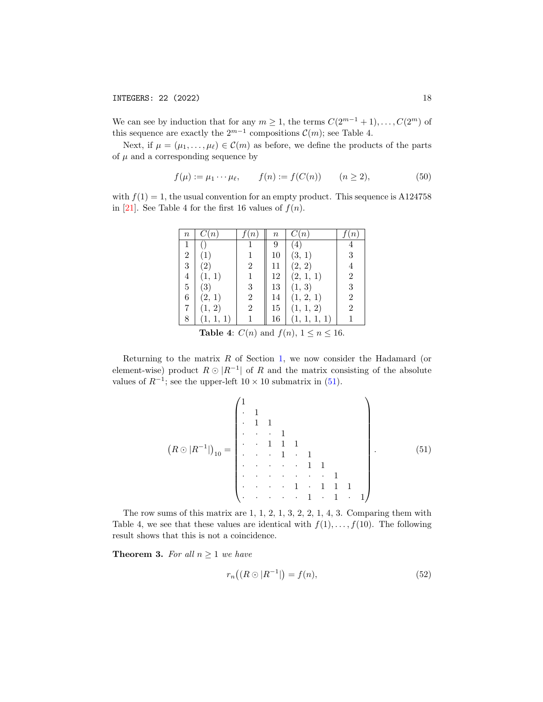We can see by induction that for any  $m \geq 1$ , the terms  $C(2^{m-1}+1), \ldots, C(2^m)$  of this sequence are exactly the  $2^{m-1}$  compositions  $\mathcal{C}(m)$ ; see Table 4.

Next, if  $\mu = (\mu_1, \ldots, \mu_\ell) \in \mathcal{C}(m)$  as before, we define the products of the parts of  $\mu$  and a corresponding sequence by

<span id="page-17-1"></span>
$$
f(\mu) := \mu_1 \cdots \mu_\ell, \qquad f(n) := f(C(n)) \qquad (n \ge 2), \tag{50}
$$

with  $f(1) = 1$ , the usual convention for an empty product. This sequence is A124758 in [\[21\]](#page-29-0). See Table 4 for the first 16 values of  $f(n)$ .

| $\it n$        | C(n)                                            |                | $\, n \,$ | C(n)              |                |  |  |  |  |
|----------------|-------------------------------------------------|----------------|-----------|-------------------|----------------|--|--|--|--|
|                |                                                 |                | 9         | $\left( 4\right)$ |                |  |  |  |  |
| $\overline{2}$ | $\left(1\right)$                                |                | 10        | (3, 1)            | 3              |  |  |  |  |
| $\sqrt{3}$     | $\left( 2\right)$                               | $\overline{2}$ | 11        | (2, 2)            | 4              |  |  |  |  |
| $\overline{4}$ | (1, 1)                                          | 1              | 12        | (2, 1, 1)         | $\overline{2}$ |  |  |  |  |
| 5              | $\left( 3\right)$                               | 3              | 13        | (1, 3)            | 3              |  |  |  |  |
| 6              | (2, 1)                                          | 2              | 14        | (1, 2, 1)         | $\overline{2}$ |  |  |  |  |
| 7              | (1, 2)                                          | $\overline{2}$ | 15        | (1, 1, 2)         | $\overline{2}$ |  |  |  |  |
| 8              | (1, 1, 1)                                       |                | 16        | (1, 1, 1, 1)      |                |  |  |  |  |
|                | Table 4: $C(n)$ and $f(n)$ , $1 \le n \le 16$ . |                |           |                   |                |  |  |  |  |

Returning to the matrix  $R$  of Section [1,](#page-0-1) we now consider the Hadamard (or element-wise) product  $R \odot |R^{-1}|$  of R and the matrix consisting of the absolute values of  $R^{-1}$ ; see the upper-left  $10 \times 10$  submatrix in  $(51)$ .

<span id="page-17-0"></span> R  |R −1 | <sup>10</sup> = 1 · 1 · 1 1 · · · 1 · · 1 1 1 · · · 1 · 1 · · · · · 1 1 · · · · · · · 1 · · · · 1 · 1 1 1 · · · · · 1 · 1 · 1 . (51)

The row sums of this matrix are 1, 1, 2, 1, 3, 2, 2, 1, 4, 3. Comparing them with Table 4, we see that these values are identical with  $f(1), \ldots, f(10)$ . The following result shows that this is not a coincidence.

<span id="page-17-3"></span>**Theorem 3.** For all  $n \geq 1$  we have

<span id="page-17-2"></span>
$$
r_n((R \odot |R^{-1}|) = f(n), \tag{52}
$$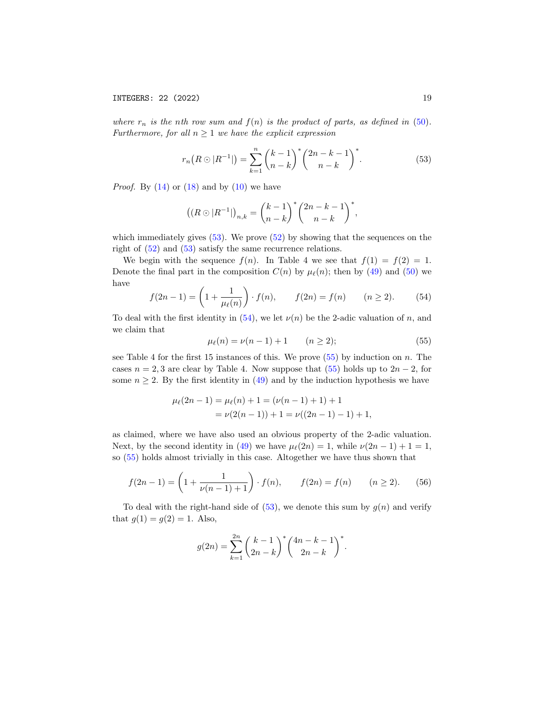where  $r_n$  is the nth row sum and  $f(n)$  is the product of parts, as defined in [\(50\)](#page-17-1). Furthermore, for all  $n \geq 1$  we have the explicit expression

<span id="page-18-0"></span>
$$
r_n(R \odot |R^{-1}|) = \sum_{k=1}^n \binom{k-1}{n-k}^* \binom{2n-k-1}{n-k}^*.
$$
 (53)

*Proof.* By  $(14)$  or  $(18)$  and by  $(10)$  we have

$$
((R \odot |R^{-1}|)_{n,k} = {k-1 \choose n-k}^* {2n-k-1 \choose n-k}^*,
$$

which immediately gives [\(53\)](#page-18-0). We prove [\(52\)](#page-17-2) by showing that the sequences on the right of [\(52\)](#page-17-2) and [\(53\)](#page-18-0) satisfy the same recurrence relations.

We begin with the sequence  $f(n)$ . In Table 4 we see that  $f(1) = f(2) = 1$ . Denote the final part in the composition  $C(n)$  by  $\mu_{\ell}(n)$ ; then by [\(49\)](#page-16-1) and [\(50\)](#page-17-1) we have

<span id="page-18-1"></span>
$$
f(2n-1) = \left(1 + \frac{1}{\mu_{\ell}(n)}\right) \cdot f(n), \qquad f(2n) = f(n) \qquad (n \ge 2). \tag{54}
$$

To deal with the first identity in  $(54)$ , we let  $\nu(n)$  be the 2-adic valuation of n, and we claim that

<span id="page-18-2"></span>
$$
\mu_{\ell}(n) = \nu(n-1) + 1 \qquad (n \ge 2); \tag{55}
$$

see Table 4 for the first 15 instances of this. We prove  $(55)$  by induction on n. The cases  $n = 2, 3$  are clear by Table 4. Now suppose that [\(55\)](#page-18-2) holds up to  $2n - 2$ , for some  $n \geq 2$ . By the first identity in [\(49\)](#page-16-1) and by the induction hypothesis we have

$$
\mu_{\ell}(2n-1) = \mu_{\ell}(n) + 1 = (\nu(n-1) + 1) + 1
$$
  
=  $\nu(2(n-1)) + 1 = \nu((2n-1) - 1) + 1,$ 

as claimed, where we have also used an obvious property of the 2-adic valuation. Next, by the second identity in [\(49\)](#page-16-1) we have  $\mu_{\ell}(2n) = 1$ , while  $\nu(2n - 1) + 1 = 1$ , so [\(55\)](#page-18-2) holds almost trivially in this case. Altogether we have thus shown that

<span id="page-18-3"></span>
$$
f(2n-1) = \left(1 + \frac{1}{\nu(n-1)+1}\right) \cdot f(n), \qquad f(2n) = f(n) \qquad (n \ge 2). \tag{56}
$$

To deal with the right-hand side of  $(53)$ , we denote this sum by  $g(n)$  and verify that  $g(1) = g(2) = 1$ . Also,

$$
g(2n) = \sum_{k=1}^{2n} {k-1 \choose 2n-k}^* {4n-k-1 \choose 2n-k}^*.
$$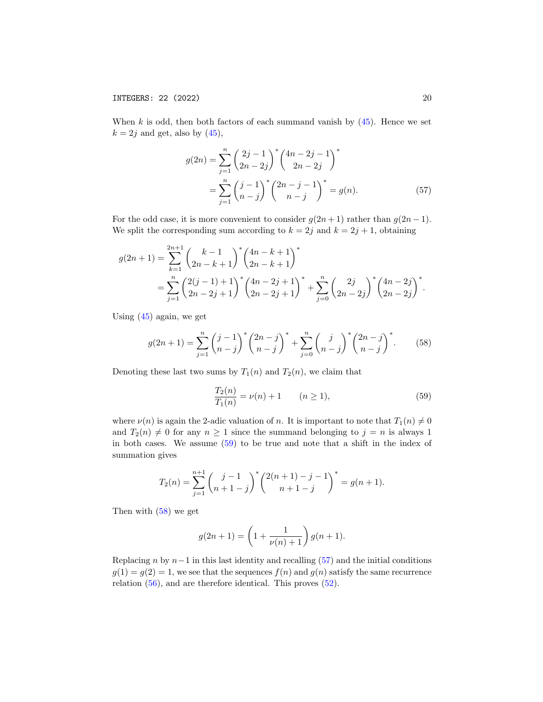When  $k$  is odd, then both factors of each summand vanish by  $(45)$ . Hence we set  $k = 2j$  and get, also by  $(45)$ ,

<span id="page-19-2"></span>
$$
g(2n) = \sum_{j=1}^{n} {2j - 1 \choose 2n - 2j}^* {4n - 2j - 1 \choose 2n - 2j}^*
$$
  
= 
$$
\sum_{j=1}^{n} {j - 1 \choose n - j}^* {2n - j - 1 \choose n - j}^* = g(n).
$$
 (57)

For the odd case, it is more convenient to consider  $g(2n+1)$  rather than  $g(2n-1)$ . We split the corresponding sum according to  $k = 2j$  and  $k = 2j + 1$ , obtaining

$$
g(2n+1) = \sum_{k=1}^{2n+1} {k-1 \choose 2n-k+1}^* {4n-k+1 \choose 2n-k+1}^*
$$
  
= 
$$
\sum_{j=1}^n {2(j-1)+1 \choose 2n-2j+1}^* {4n-2j+1 \choose 2n-2j+1}^* + \sum_{j=0}^n {2j \choose 2n-2j}^* {4n-2j \choose 2n-2j}^*.
$$

Using [\(45\)](#page-14-0) again, we get

<span id="page-19-1"></span>
$$
g(2n+1) = \sum_{j=1}^{n} {j-1 \choose n-j}^* {2n-j \choose n-j}^* + \sum_{j=0}^{n} {j \choose n-j}^* {2n-j \choose n-j}^*.
$$
 (58)

Denoting these last two sums by  $T_1(n)$  and  $T_2(n)$ , we claim that

<span id="page-19-0"></span>
$$
\frac{T_2(n)}{T_1(n)} = \nu(n) + 1 \qquad (n \ge 1),
$$
\n(59)

where  $\nu(n)$  is again the 2-adic valuation of n. It is important to note that  $T_1(n) \neq 0$ and  $T_2(n) \neq 0$  for any  $n \geq 1$  since the summand belonging to  $j = n$  is always 1 in both cases. We assume [\(59\)](#page-19-0) to be true and note that a shift in the index of summation gives

$$
T_2(n) = \sum_{j=1}^{n+1} {j-1 \choose n+1-j}^* {2(n+1) - j - 1 \choose n+1-j}^* = g(n+1).
$$

Then with [\(58\)](#page-19-1) we get

$$
g(2n + 1) = \left(1 + \frac{1}{\nu(n) + 1}\right)g(n + 1).
$$

Replacing n by  $n-1$  in this last identity and recalling [\(57\)](#page-19-2) and the initial conditions  $g(1) = g(2) = 1$ , we see that the sequences  $f(n)$  and  $g(n)$  satisfy the same recurrence relation [\(56\)](#page-18-3), and are therefore identical. This proves [\(52\)](#page-17-2).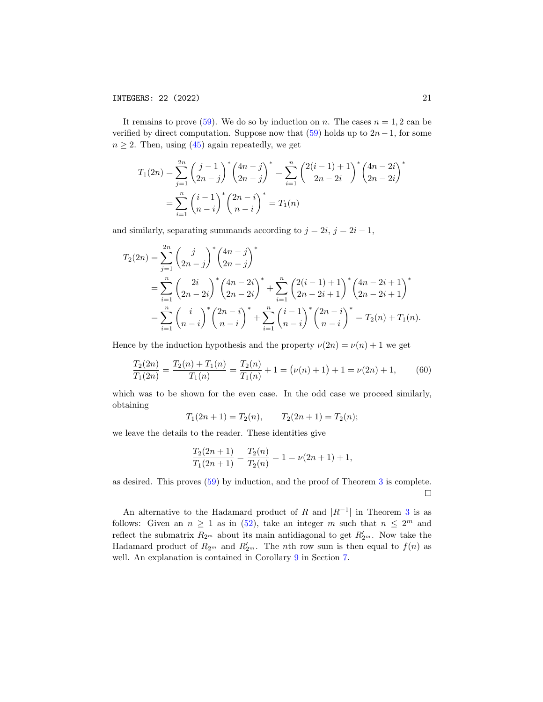It remains to prove [\(59\)](#page-19-0). We do so by induction on n. The cases  $n = 1, 2$  can be verified by direct computation. Suppose now that  $(59)$  holds up to  $2n-1$ , for some  $n \geq 2$ . Then, using [\(45\)](#page-14-0) again repeatedly, we get

$$
T_1(2n) = \sum_{j=1}^{2n} \binom{j-1}{2n-j}^* \binom{4n-j}{2n-j}^* = \sum_{i=1}^n \binom{2(i-1)+1}{2n-2i}^* \binom{4n-2i}{2n-2i}^*
$$

$$
= \sum_{i=1}^n \binom{i-1}{n-i}^* \binom{2n-i}{n-i}^* = T_1(n)
$$

and similarly, separating summands according to  $j = 2i$ ,  $j = 2i - 1$ ,

$$
T_2(2n) = \sum_{j=1}^{2n} {j \choose 2n-j}^* {4n-j \choose 2n-j}^*
$$
  
= 
$$
\sum_{i=1}^{n} {2i \choose 2n-2i}^* {4n-2i \choose 2n-2i}^* + \sum_{i=1}^{n} {2(i-1)+1 \choose 2n-2i+1}^* {4n-2i+1 \choose 2n-2i+1}^*
$$
  
= 
$$
\sum_{i=1}^{n} {i \choose n-i}^* {2n-i \choose n-i}^* + \sum_{i=1}^{n} {i-1 \choose n-i}^* {2n-i \choose n-i}^* = T_2(n) + T_1(n).
$$

Hence by the induction hypothesis and the property  $\nu(2n) = \nu(n) + 1$  we get

$$
\frac{T_2(2n)}{T_1(2n)} = \frac{T_2(n) + T_1(n)}{T_1(n)} = \frac{T_2(n)}{T_1(n)} + 1 = (\nu(n) + 1) + 1 = \nu(2n) + 1,\tag{60}
$$

which was to be shown for the even case. In the odd case we proceed similarly, obtaining

$$
T_1(2n + 1) = T_2(n),
$$
  $T_2(2n + 1) = T_2(n);$ 

we leave the details to the reader. These identities give

$$
\frac{T_2(2n+1)}{T_1(2n+1)} = \frac{T_2(n)}{T_2(n)} = 1 = \nu(2n+1) + 1,
$$

as desired. This proves [\(59\)](#page-19-0) by induction, and the proof of Theorem [3](#page-17-3) is complete.  $\Box$ 

An alternative to the Hadamard product of R and  $|R^{-1}|$  in Theorem [3](#page-17-3) is as follows: Given an  $n \geq 1$  as in [\(52\)](#page-17-2), take an integer m such that  $n \leq 2^m$  and reflect the submatrix  $R_{2^m}$  about its main antidiagonal to get  $R'_{2^m}$ . Now take the Hadamard product of  $R_{2^m}$  and  $R'_{2^m}$ . The nth row sum is then equal to  $f(n)$  as well. An explanation is contained in Corollary [9](#page-25-0) in Section [7.](#page-22-0)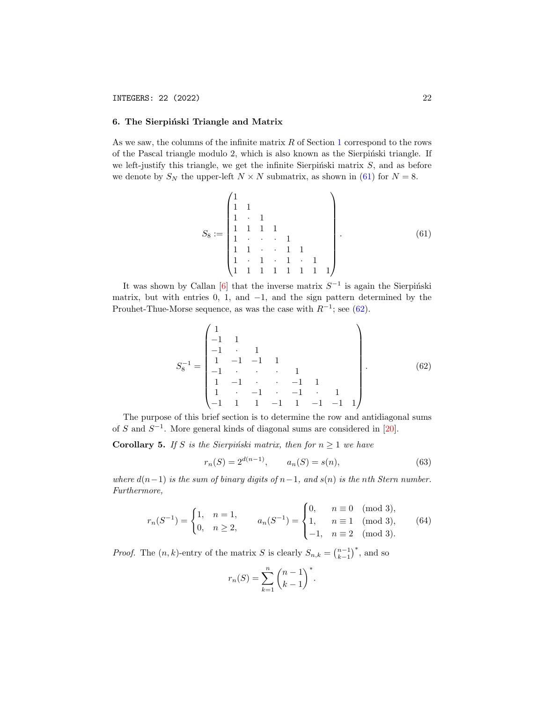# <span id="page-21-0"></span>6. The Sierpiński Triangle and Matrix

As we saw, the columns of the infinite matrix  $R$  of Section [1](#page-0-1) correspond to the rows of the Pascal triangle modulo 2, which is also known as the Sierpinski triangle. If we left-justify this triangle, we get the infinite Sierpinski matrix  $S$ , and as before we denote by  $S_N$  the upper-left  $N \times N$  submatrix, as shown in [\(61\)](#page-21-1) for  $N = 8$ .

<span id="page-21-1"></span>
$$
S_8 := \begin{pmatrix} 1 & & & & & & & \\ 1 & 1 & & & & & & \\ 1 & 1 & 1 & 1 & & & & \\ 1 & 1 & 1 & 1 & & & & \\ 1 & 1 & \cdot & \cdot & 1 & 1 & \\ 1 & 1 & 1 & 1 & 1 & 1 & 1 \end{pmatrix} . \tag{61}
$$

It was shown by Callan [\[6\]](#page-28-14) that the inverse matrix  $S^{-1}$  is again the Sierpinski matrix, but with entries  $0, 1$ , and  $-1$ , and the sign pattern determined by the Prouhet-Thue-Morse sequence, as was the case with  $R^{-1}$ ; see [\(62\)](#page-21-2).

<span id="page-21-2"></span>
$$
S_8^{-1} = \begin{pmatrix} 1 & & & & & & & & \\ -1 & 1 & & & & & & & \\ -1 & \cdot & 1 & & & & & & \\ 1 & -1 & -1 & 1 & & & & & \\ -1 & \cdot & \cdot & \cdot & 1 & & & & \\ 1 & -1 & \cdot & \cdot & -1 & 1 & & \\ 1 & \cdot & -1 & \cdot & -1 & \cdot & 1 & \\ -1 & 1 & 1 & -1 & 1 & -1 & -1 & 1 \end{pmatrix} .
$$
 (62)

The purpose of this brief section is to determine the row and antidiagonal sums of S and  $S^{-1}$ . More general kinds of diagonal sums are considered in [\[20\]](#page-28-15).

<span id="page-21-5"></span>Corollary 5. If S is the Sierpinski matrix, then for  $n \geq 1$  we have

<span id="page-21-3"></span>
$$
r_n(S) = 2^{d(n-1)}, \qquad a_n(S) = s(n), \tag{63}
$$

where  $d(n-1)$  is the sum of binary digits of  $n-1$ , and  $s(n)$  is the nth Stern number. Furthermore,

<span id="page-21-4"></span>
$$
r_n(S^{-1}) = \begin{cases} 1, & n = 1, \\ 0, & n \ge 2, \end{cases} \qquad a_n(S^{-1}) = \begin{cases} 0, & n \equiv 0 \pmod{3}, \\ 1, & n \equiv 1 \pmod{3}, \\ -1, & n \equiv 2 \pmod{3}. \end{cases}
$$
(64)

*Proof.* The  $(n, k)$ -entry of the matrix S is clearly  $S_{n,k} = \binom{n-1}{k-1}^*$ , and so

$$
r_n(S) = \sum_{k=1}^n {n-1 \choose k-1}^*.
$$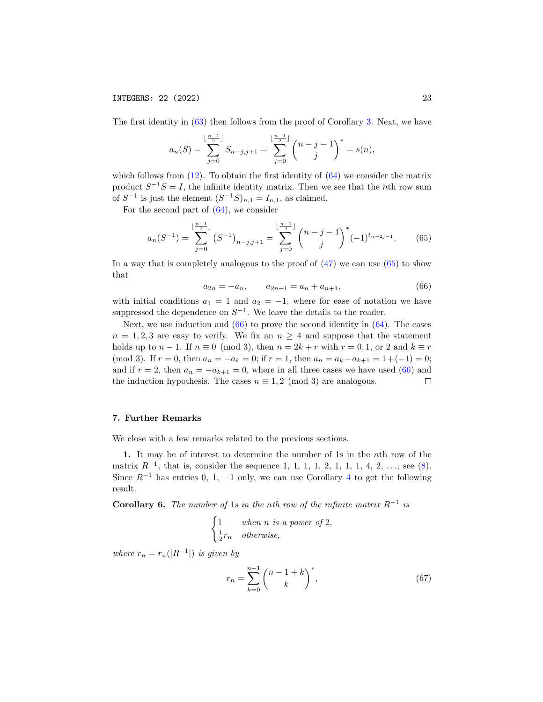The first identity in [\(63\)](#page-21-3) then follows from the proof of Corollary [3.](#page-13-1) Next, we have

$$
a_n(S) = \sum_{j=0}^{\lfloor \frac{n-1}{2} \rfloor} S_{n-j,j+1} = \sum_{j=0}^{\lfloor \frac{n-1}{2} \rfloor} {n-j-1 \choose j}^* = s(n),
$$

which follows from  $(12)$ . To obtain the first identity of  $(64)$  we consider the matrix product  $S^{-1}S = I$ , the infinite identity matrix. Then we see that the *n*th row sum of  $S^{-1}$  is just the element  $(S^{-1}S)_{n,1} = I_{n,1}$ , as claimed.

For the second part of  $(64)$ , we consider

<span id="page-22-1"></span>
$$
a_n(S^{-1}) = \sum_{j=0}^{\lfloor \frac{n-1}{2} \rfloor} (S^{-1})_{n-j,j+1} = \sum_{j=0}^{\lfloor \frac{n-1}{2} \rfloor} {n-j-1 \choose j}^*(-1)^{t_{n-2j-1}}.
$$
 (65)

In a way that is completely analogous to the proof of [\(47\)](#page-15-1) we can use [\(65\)](#page-22-1) to show that

<span id="page-22-2"></span>
$$
a_{2n} = -a_n, \qquad a_{2n+1} = a_n + a_{n+1}, \tag{66}
$$

with initial conditions  $a_1 = 1$  and  $a_2 = -1$ , where for ease of notation we have suppressed the dependence on  $S^{-1}$ . We leave the details to the reader.

Next, we use induction and  $(66)$  to prove the second identity in  $(64)$ . The cases  $n = 1, 2, 3$  are easy to verify. We fix an  $n \geq 4$  and suppose that the statement holds up to  $n-1$ . If  $n \equiv 0 \pmod{3}$ , then  $n = 2k + r$  with  $r = 0, 1$ , or 2 and  $k \equiv r$ (mod 3). If  $r = 0$ , then  $a_n = -a_k = 0$ ; if  $r = 1$ , then  $a_n = a_k + a_{k+1} = 1 + (-1) = 0$ ; and if  $r = 2$ , then  $a_n = -a_{k+1} = 0$ , where in all three cases we have used [\(66\)](#page-22-2) and the induction hypothesis. The cases  $n \equiv 1, 2 \pmod{3}$  are analogous.  $\Box$ 

## <span id="page-22-0"></span>7. Further Remarks

We close with a few remarks related to the previous sections.

1. It may be of interest to determine the number of 1s in the nth row of the matrix  $R^{-1}$ , that is, consider the sequence 1, 1, 1, 1, 2, 1, 1, 1, 4, 2, ...; see [\(8\)](#page-2-1). Since  $R^{-1}$  has entries 0, 1, -1 only, we can use Corollary [4](#page-15-0) to get the following result.

<span id="page-22-3"></span>**Corollary 6.** The number of 1s in the nth row of the infinite matrix  $R^{-1}$  is

$$
\begin{cases} 1 & when n is a power of 2, \\ \frac{1}{2}r_n & otherwise, \end{cases}
$$

where  $r_n = r_n(|R^{-1}|)$  is given by

<span id="page-22-4"></span>
$$
r_n = \sum_{k=0}^{n-1} {n-1+k \choose k}^*,
$$
 (67)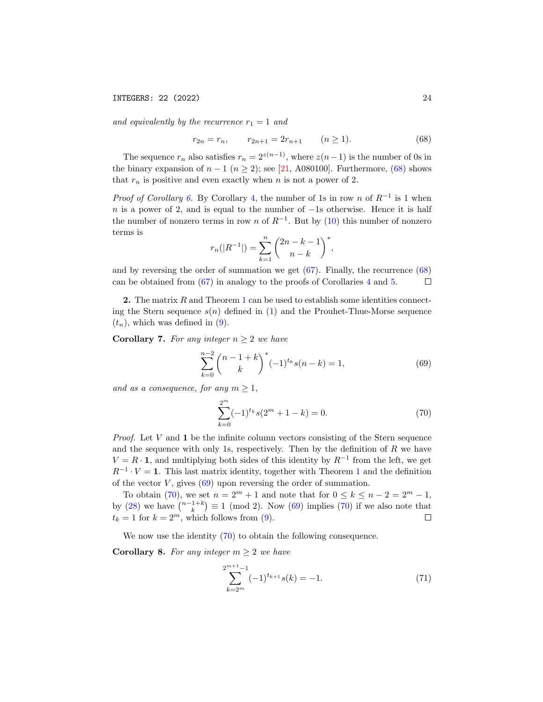and equivalently by the recurrence  $r_1 = 1$  and

<span id="page-23-0"></span>
$$
r_{2n} = r_n, \qquad r_{2n+1} = 2r_{n+1} \qquad (n \ge 1). \tag{68}
$$

The sequence  $r_n$  also satisfies  $r_n = 2^{z(n-1)}$ , where  $z(n-1)$  is the number of 0s in the binary expansion of  $n-1$  ( $n \ge 2$ ); see [\[21,](#page-29-0) A080100]. Furthermore, [\(68\)](#page-23-0) shows that  $r_n$  is positive and even exactly when n is not a power of 2.

*Proof of Corollary [6.](#page-22-3)* By Corollary [4,](#page-15-0) the number of 1s in row n of  $R^{-1}$  is 1 when n is a power of 2, and is equal to the number of  $-1$ s otherwise. Hence it is half the number of nonzero terms in row n of  $R^{-1}$ . But by [\(10\)](#page-3-0) this number of nonzero terms is

$$
r_n(|R^{-1}|) = \sum_{k=1}^n \binom{2n-k-1}{n-k}^*,
$$

and by reversing the order of summation we get  $(67)$ . Finally, the recurrence  $(68)$ can be obtained from [\(67\)](#page-22-4) in analogy to the proofs of Corollaries [4](#page-15-0) and [5.](#page-21-5)  $\Box$ 

2. The matrix R and Theorem [1](#page-3-2) can be used to establish some identities connecting the Stern sequence  $s(n)$  defined in [\(1\)](#page-0-2) and the Prouhet-Thue-Morse sequence  $(t_n)$ , which was defined in [\(9\)](#page-3-4).

Corollary 7. For any integer  $n \geq 2$  we have

<span id="page-23-1"></span>
$$
\sum_{k=0}^{n-2} {n-1+k \choose k}^*(-1)^{t_k} s(n-k) = 1,
$$
\n(69)

and as a consequence, for any  $m \geq 1$ ,

<span id="page-23-2"></span>
$$
\sum_{k=0}^{2^m} (-1)^{t_k} s(2^m + 1 - k) = 0.
$$
 (70)

*Proof.* Let  $V$  and  $\bf{1}$  be the infinite column vectors consisting of the Stern sequence and the sequence with only 1s, respectively. Then by the definition of  $R$  we have  $V = R \cdot 1$ , and multiplying both sides of this identity by  $R^{-1}$  from the left, we get  $R^{-1} \cdot V = 1$  $R^{-1} \cdot V = 1$  $R^{-1} \cdot V = 1$ . This last matrix identity, together with Theorem 1 and the definition of the vector  $V$ , gives  $(69)$  upon reversing the order of summation.

To obtain [\(70\)](#page-23-2), we set  $n = 2^m + 1$  and note that for  $0 \le k \le n - 2 = 2^m - 1$ , by [\(28\)](#page-8-1) we have  $\binom{n-1+k}{k} \equiv 1 \pmod{2}$ . Now [\(69\)](#page-23-1) implies [\(70\)](#page-23-2) if we also note that  $t_k = 1$  for  $k = 2^m$ , which follows from [\(9\)](#page-3-4).  $\Box$ 

We now use the identity [\(70\)](#page-23-2) to obtain the following consequence.

<span id="page-23-4"></span>Corollary 8. For any integer  $m \geq 2$  we have

<span id="page-23-3"></span> $\overline{2}$ 

$$
\sum_{k=2^m}^{m+1} (-1)^{t_{k+1}} s(k) = -1.
$$
 (71)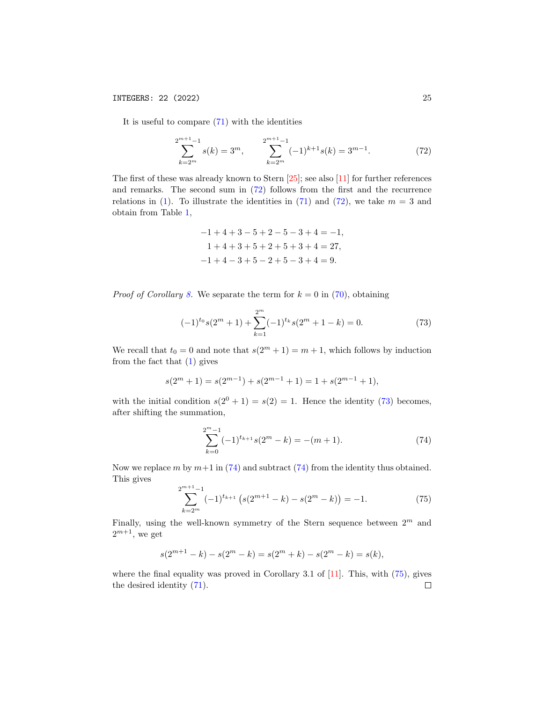It is useful to compare  $(71)$  with the identities

<span id="page-24-0"></span>
$$
\sum_{k=2^m}^{2^{m+1}-1} s(k) = 3^m, \qquad \sum_{k=2^m}^{2^{m+1}-1} (-1)^{k+1} s(k) = 3^{m-1}.
$$
 (72)

The first of these was already known to Stern [\[25\]](#page-29-4); see also [\[11\]](#page-28-2) for further references and remarks. The second sum in [\(72\)](#page-24-0) follows from the first and the recurrence relations in [\(1\)](#page-0-2). To illustrate the identities in [\(71\)](#page-23-3) and [\(72\)](#page-24-0), we take  $m = 3$  and obtain from Table [1,](#page-1-0)

$$
-1+4+3-5+2-5-3+4=-1,
$$
  

$$
1+4+3+5+2+5+3+4=27,
$$
  

$$
-1+4-3+5-2+5-3+4=9.
$$

*Proof of Corollary [8.](#page-23-4)* We separate the term for  $k = 0$  in [\(70\)](#page-23-2), obtaining

<span id="page-24-1"></span>
$$
(-1)^{t_0} s(2^m + 1) + \sum_{k=1}^{2^m} (-1)^{t_k} s(2^m + 1 - k) = 0.
$$
 (73)

We recall that  $t_0 = 0$  and note that  $s(2^m + 1) = m + 1$ , which follows by induction from the fact that [\(1\)](#page-0-2) gives

$$
s(2m+1) = s(2m-1) + s(2m-1+1) = 1 + s(2m-1+1),
$$

with the initial condition  $s(2^0 + 1) = s(2) = 1$ . Hence the identity [\(73\)](#page-24-1) becomes, after shifting the summation,

<span id="page-24-2"></span>
$$
\sum_{k=0}^{2^m-1} (-1)^{t_{k+1}} s(2^m - k) = -(m+1). \tag{74}
$$

Now we replace m by  $m+1$  in [\(74\)](#page-24-2) and subtract (74) from the identity thus obtained. This gives

<span id="page-24-3"></span>
$$
\sum_{k=2^{m}}^{2^{m+1}-1} (-1)^{t_{k+1}} \left( s(2^{m+1}-k) - s(2^{m}-k) \right) = -1.
$$
 (75)

Finally, using the well-known symmetry of the Stern sequence between  $2^m$  and  $2^{m+1}$ , we get

$$
s(2^{m+1} - k) - s(2^m - k) = s(2^m + k) - s(2^m - k) = s(k),
$$

where the final equality was proved in Corollary 3.1 of [\[11\]](#page-28-2). This, with  $(75)$ , gives the desired identity [\(71\)](#page-23-3). $\Box$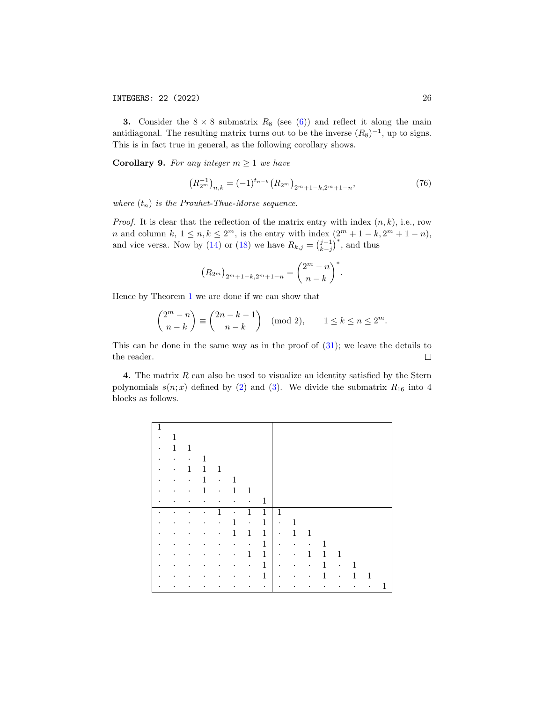**3.** Consider the  $8 \times 8$  submatrix  $R_8$  (see [\(6\)](#page-2-0)) and reflect it along the main antidiagonal. The resulting matrix turns out to be the inverse  $(R_8)^{-1}$ , up to signs. This is in fact true in general, as the following corollary shows.

<span id="page-25-0"></span>**Corollary 9.** For any integer  $m \geq 1$  we have

$$
\left(R_{2^m}^{-1}\right)_{n,k} = (-1)^{t_{n-k}} \left(R_{2^m}\right)_{2^m+1-k,2^m+1-n},\tag{76}
$$

where  $(t_n)$  is the Prouhet-Thue-Morse sequence.

*Proof.* It is clear that the reflection of the matrix entry with index  $(n, k)$ , i.e., row *n* and column  $k, 1 \le n, k \le 2^m$ , is the entry with index  $(2^m + 1 - k, 2^m + 1 - n)$ , and vice versa. Now by [\(14\)](#page-4-0) or [\(18\)](#page-5-1) we have  $R_{k,j} = \binom{j-1}{k-j}^*$ , and thus

$$
(R_{2m})_{2m+1-k,2m+1-n} = {2m - n \choose n-k}^*.
$$

Hence by Theorem [1](#page-3-2) we are done if we can show that

$$
\binom{2^m - n}{n - k} \equiv \binom{2n - k - 1}{n - k} \pmod{2}, \qquad 1 \le k \le n \le 2^m.
$$

This can be done in the same way as in the proof of  $(31)$ ; we leave the details to the reader.  $\Box$ 

4. The matrix  $R$  can also be used to visualize an identity satisfied by the Stern polynomials  $s(n; x)$  defined by [\(2\)](#page-1-2) and [\(3\)](#page-1-3). We divide the submatrix  $R_{16}$  into 4 blocks as follows.

| $\bullet$ | 1            |                                                                 |             |           |               |                                                                     |              |           |                          |              |              |        |   |   |  |
|-----------|--------------|-----------------------------------------------------------------|-------------|-----------|---------------|---------------------------------------------------------------------|--------------|-----------|--------------------------|--------------|--------------|--------|---|---|--|
| $\bullet$ | $\mathbf{1}$ | 1                                                               |             |           |               |                                                                     |              |           |                          |              |              |        |   |   |  |
| $\bullet$ | $\bullet$    | $\sim 100$                                                      | 1           |           |               |                                                                     |              |           |                          |              |              |        |   |   |  |
| ٠         | $\bullet$ .  | $\mathbf{1}$                                                    | $\mathbf 1$ | 1         |               |                                                                     |              |           |                          |              |              |        |   |   |  |
|           | $\bullet$    | $\bullet$ .                                                     | 1           | $\sim$    | 1             |                                                                     |              |           |                          |              |              |        |   |   |  |
| $\bullet$ | $\bullet$    | $\bullet$ .                                                     | 1           | $\sim$    | 1             | 1                                                                   |              |           |                          |              |              |        |   |   |  |
| ٠         | $\bullet$    | $\bullet$                                                       | $\bullet$ . | $\bullet$ |               | $\bullet$ . In the $\bullet$                                        | 1            |           |                          |              |              |        |   |   |  |
|           | $\bullet$    | $\bullet$                                                       | $\bullet$   | 1         | $\sim$ $\sim$ | $\mathbf{1}$                                                        | $\mathbf{1}$ | 1         |                          |              |              |        |   |   |  |
| ٠         | $\bullet$    | $\bullet$ .<br><br><br><br><br><br><br><br><br><br><br><br>     | $\bullet$   | $\bullet$ | 1             | $\sim$                                                              | 1            | $\sim$    | 1                        |              |              |        |   |   |  |
| ٠         | $\bullet$    | $\bullet$ .<br><br><br><br><br><br><br><br><br><br><br><br><br> | $\bullet$   | $\bullet$ | $\mathbf{1}$  | $\mathbf{1}$                                                        | $\mathbf{1}$ | $\sim$    | $\mathbf{1}$             | 1            |              |        |   |   |  |
|           | $\bullet$    | $\bullet$                                                       | $\bullet$   | $\bullet$ |               | $\bullet$ .<br><br><br><br><br><br><br><br><br><br><br><br><br><br> | $\mathbf 1$  | $\sim$    | <b>Contract Contract</b> | $\bullet$    | 1            |        |   |   |  |
|           |              |                                                                 |             |           |               |                                                                     |              |           |                          |              |              |        |   |   |  |
| ٠         | $\bullet$    | $\bullet$                                                       | $\bullet$   | $\bullet$ | $\bullet$     | $\mathbf{1}$                                                        | $\mathbf{1}$ | $\bullet$ | $\bullet$                | $\mathbf{1}$ | $\mathbf{1}$ | 1      |   |   |  |
| ٠         | $\bullet$    | $\bullet$                                                       | $\bullet$   | $\bullet$ |               | $\bullet$ . In the $\bullet$                                        | 1            | $\sim$    | $\bullet$                | $\sim 100$   | $\mathbf{1}$ | $\sim$ | 1 |   |  |
|           |              |                                                                 | $\bullet$   |           | ٠             | $\bullet$                                                           | $\mathbf{1}$ | $\bullet$ | $\bullet$                | $\bullet$    | 1            | $\sim$ | 1 | 1 |  |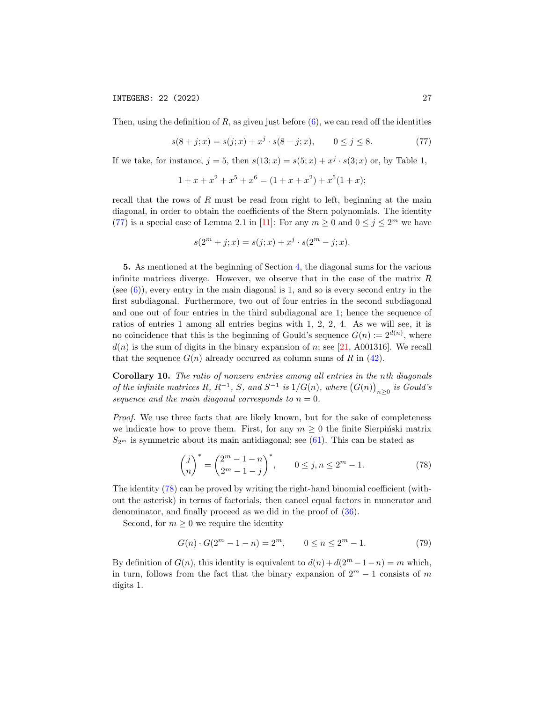Then, using the definition of  $R$ , as given just before  $(6)$ , we can read off the identities

<span id="page-26-0"></span>
$$
s(8+j;x) = s(j;x) + x^j \cdot s(8-j;x), \qquad 0 \le j \le 8. \tag{77}
$$

If we take, for instance,  $j = 5$ , then  $s(13; x) = s(5; x) + x^j \cdot s(3; x)$  or, by Table 1,

$$
1 + x + x2 + x5 + x6 = (1 + x + x2) + x5(1 + x);
$$

recall that the rows of  $R$  must be read from right to left, beginning at the main diagonal, in order to obtain the coefficients of the Stern polynomials. The identity [\(77\)](#page-26-0) is a special case of Lemma 2.1 in [\[11\]](#page-28-2): For any  $m \ge 0$  and  $0 \le j \le 2^m$  we have

$$
s(2m + j; x) = s(j; x) + xj \cdot s(2m - j; x).
$$

5. As mentioned at the beginning of Section [4,](#page-11-0) the diagonal sums for the various infinite matrices diverge. However, we observe that in the case of the matrix  $R$ (see  $(6)$ ), every entry in the main diagonal is 1, and so is every second entry in the first subdiagonal. Furthermore, two out of four entries in the second subdiagonal and one out of four entries in the third subdiagonal are 1; hence the sequence of ratios of entries 1 among all entries begins with 1, 2, 2, 4. As we will see, it is no coincidence that this is the beginning of Gould's sequence  $G(n) := 2^{d(n)}$ , where  $d(n)$  is the sum of digits in the binary expansion of n; see [\[21,](#page-29-0) A001316]. We recall that the sequence  $G(n)$  already occurred as column sums of R in [\(42\)](#page-13-2).

Corollary 10. The ratio of nonzero entries among all entries in the nth diagonals of the infinite matrices R,  $R^{-1}$ , S, and  $S^{-1}$  is  $1/G(n)$ , where  $(G(n))_{n\geq 0}$  is Gould's sequence and the main diagonal corresponds to  $n = 0$ .

Proof. We use three facts that are likely known, but for the sake of completeness we indicate how to prove them. First, for any  $m \geq 0$  the finite Sierpinski matrix  $S_{2<sup>m</sup>}$  is symmetric about its main antidiagonal; see [\(61\)](#page-21-1). This can be stated as

<span id="page-26-1"></span>
$$
\binom{j}{n}^* = \binom{2^m - 1 - n}{2^m - 1 - j}^*, \qquad 0 \le j, n \le 2^m - 1.
$$
 (78)

The identity [\(78\)](#page-26-1) can be proved by writing the right-hand binomial coefficient (without the asterisk) in terms of factorials, then cancel equal factors in numerator and denominator, and finally proceed as we did in the proof of [\(36\)](#page-10-2).

Second, for  $m \geq 0$  we require the identity

<span id="page-26-2"></span>
$$
G(n) \cdot G(2m - 1 - n) = 2m, \qquad 0 \le n \le 2m - 1.
$$
 (79)

By definition of  $G(n)$ , this identity is equivalent to  $d(n) + d(2<sup>m</sup> - 1 - n) = m$  which, in turn, follows from the fact that the binary expansion of  $2^m - 1$  consists of m digits 1.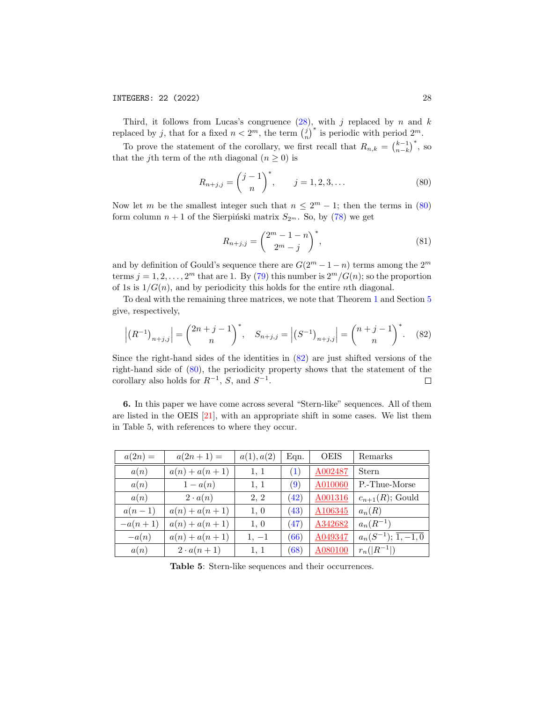INTEGERS: 22 (2022) 28

Third, it follows from Lucas's congruence  $(28)$ , with j replaced by n and k replaced by j, that for a fixed  $n < 2<sup>m</sup>$ , the term  $\binom{j}{n}^*$  is periodic with period  $2<sup>m</sup>$ .

To prove the statement of the corollary, we first recall that  $R_{n,k} = \binom{k-1}{n-k}^*$ , so that the j<sup>th</sup> term of the *n*<sup>th</sup> diagonal ( $n \geq 0$ ) is

<span id="page-27-0"></span>
$$
R_{n+j,j} = \binom{j-1}{n}^*, \qquad j = 1, 2, 3, \dots
$$
 (80)

Now let m be the smallest integer such that  $n \leq 2^m - 1$ ; then the terms in [\(80\)](#page-27-0) form column  $n + 1$  of the Sierpiński matrix  $S_{2<sup>m</sup>}$ . So, by [\(78\)](#page-26-1) we get

$$
R_{n+j,j} = \binom{2^m - 1 - n}{2^m - j}^*,\tag{81}
$$

and by definition of Gould's sequence there are  $G(2^m-1-n)$  terms among the  $2^m$ terms  $j = 1, 2, ..., 2^m$  that are 1. By [\(79\)](#page-26-2) this number is  $2^m/G(n)$ ; so the proportion of 1s is  $1/G(n)$ , and by periodicity this holds for the entire nth diagonal.

To deal with the remaining three matrices, we note that Theorem [1](#page-3-2) and Section [5](#page-16-0) give, respectively,

<span id="page-27-1"></span>
$$
\left| \left( R^{-1} \right)_{n+j,j} \right| = \binom{2n+j-1}{n}^*, \quad S_{n+j,j} = \left| \left( S^{-1} \right)_{n+j,j} \right| = \binom{n+j-1}{n}^*. \tag{82}
$$

Since the right-hand sides of the identities in [\(82\)](#page-27-1) are just shifted versions of the right-hand side of [\(80\)](#page-27-0), the periodicity property shows that the statement of the corollary also holds for  $R^{-1}$ , S, and  $S^{-1}$ .  $\Box$ 

6. In this paper we have come across several "Stern-like" sequences. All of them are listed in the OEIS [\[21\]](#page-29-0), with an appropriate shift in some cases. We list them in Table 5, with references to where they occur.

| $a(2n) =$ | $a(2n+1) =$      | a(1), a(2) | Eqn. | <b>OEIS</b> | Remarks                          |
|-----------|------------------|------------|------|-------------|----------------------------------|
| a(n)      | $a(n) + a(n+1)$  | 1, 1       | (1)  | A002487     | Stern                            |
| a(n)      | $1-a(n)$         | 1, 1       | (9)  | A010060     | P.-Thue-Morse                    |
| a(n)      | $2 \cdot a(n)$   | 2, 2       | (42) | A001316     | $c_{n+1}(R)$ ; Gould             |
| $a(n-1)$  | $a(n) + a(n+1)$  | 1, 0       | (43) | A106345     | $a_n(R)$                         |
| $-a(n+1)$ | $a(n) + a(n+1)$  | 1, 0       | (47) | A342682     | $a_n(R^{-1})$                    |
| $-a(n)$   | $a(n) + a(n+1)$  | $1, -1$    | (66) | A049347     | $a_n(S^{-1}); \overline{1,-1,0}$ |
| a(n)      | $2 \cdot a(n+1)$ | 1, 1       | (68) | A080100     | $r_n( R^{-1} )$                  |

Table 5: Stern-like sequences and their occurrences.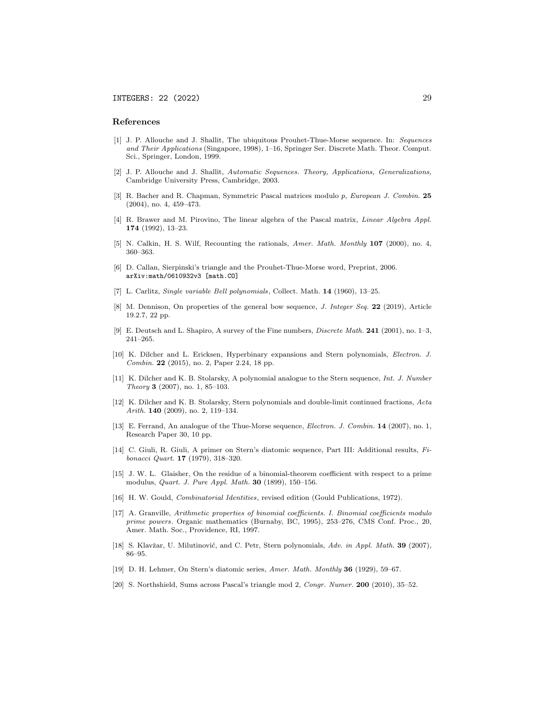#### References

- <span id="page-28-11"></span>[1] J. P. Allouche and J. Shallit, The ubiquitous Prouhet-Thue-Morse sequence. In: Sequences and Their Applications (Singapore, 1998), 1–16, Springer Ser. Discrete Math. Theor. Comput. Sci., Springer, London, 1999.
- <span id="page-28-4"></span>[2] J. P. Allouche and J. Shallit, Automatic Sequences. Theory, Applications, Generalizations, Cambridge University Press, Cambridge, 2003.
- [3] R. Bacher and R. Chapman, Symmetric Pascal matrices modulo p, European J. Combin. 25 (2004), no. 4, 459–473.
- <span id="page-28-8"></span>[4] R. Brawer and M. Pirovino, The linear algebra of the Pascal matrix, Linear Algebra Appl. 174 (1992), 13–23.
- <span id="page-28-0"></span>[5] N. Calkin, H. S. Wilf, Recounting the rationals, Amer. Math. Monthly 107 (2000), no. 4, 360–363.
- <span id="page-28-14"></span>[6] D. Callan, Sierpinski's triangle and the Prouhet-Thue-Morse word, Preprint, 2006. arXiv:math/0610932v3 [math.CO]
- <span id="page-28-5"></span>[7] L. Carlitz, Single variable Bell polynomials, Collect. Math. 14 (1960), 13–25.
- [8] M. Dennison, On properties of the general bow sequence, *J. Integer Seq.* 22 (2019), Article 19.2.7, 22 pp.
- <span id="page-28-12"></span>[9] E. Deutsch and L. Shapiro, A survey of the Fine numbers, Discrete Math. 241 (2001), no. 1–3, 241–265.
- <span id="page-28-7"></span>[10] K. Dilcher and L. Ericksen, Hyperbinary expansions and Stern polynomials, Electron. J. Combin. 22 (2015), no. 2, Paper 2.24, 18 pp.
- <span id="page-28-2"></span>[11] K. Dilcher and K. B. Stolarsky, A polynomial analogue to the Stern sequence, Int. J. Number Theory 3 (2007), no. 1, 85–103.
- <span id="page-28-3"></span>[12] K. Dilcher and K. B. Stolarsky, Stern polynomials and double-limit continued fractions, Acta Arith. 140 (2009), no. 2, 119–134.
- [13] E. Ferrand, An analogue of the Thue-Morse sequence, Electron. J. Combin. 14 (2007), no. 1, Research Paper 30, 10 pp.
- <span id="page-28-6"></span>[14] C. Giuli, R. Giuli, A primer on Stern's diatomic sequence, Part III: Additional results, Fibonacci Quart. 17 (1979), 318–320.
- <span id="page-28-13"></span>[15] J. W. L. Glaisher, On the residue of a binomial-theorem coefficient with respect to a prime modulus, Quart. J. Pure Appl. Math. 30 (1899), 150–156.
- <span id="page-28-9"></span>[16] H. W. Gould, Combinatorial Identities, revised edition (Gould Publications, 1972).
- <span id="page-28-10"></span>[17] A. Granville, Arithmetic properties of binomial coefficients. I. Binomial coefficients modulo prime powers. Organic mathematics (Burnaby, BC, 1995), 253–276, CMS Conf. Proc., 20, Amer. Math. Soc., Providence, RI, 1997.
- <span id="page-28-1"></span>[18] S. Klavžar, U. Milutinović, and C. Petr, Stern polynomials, Adv. in Appl. Math. 39 (2007), 86–95.
- [19] D. H. Lehmer, On Stern's diatomic series, Amer. Math. Monthly 36 (1929), 59–67.
- <span id="page-28-15"></span>[20] S. Northshield, Sums across Pascal's triangle mod 2, Congr. Numer. 200 (2010), 35–52.